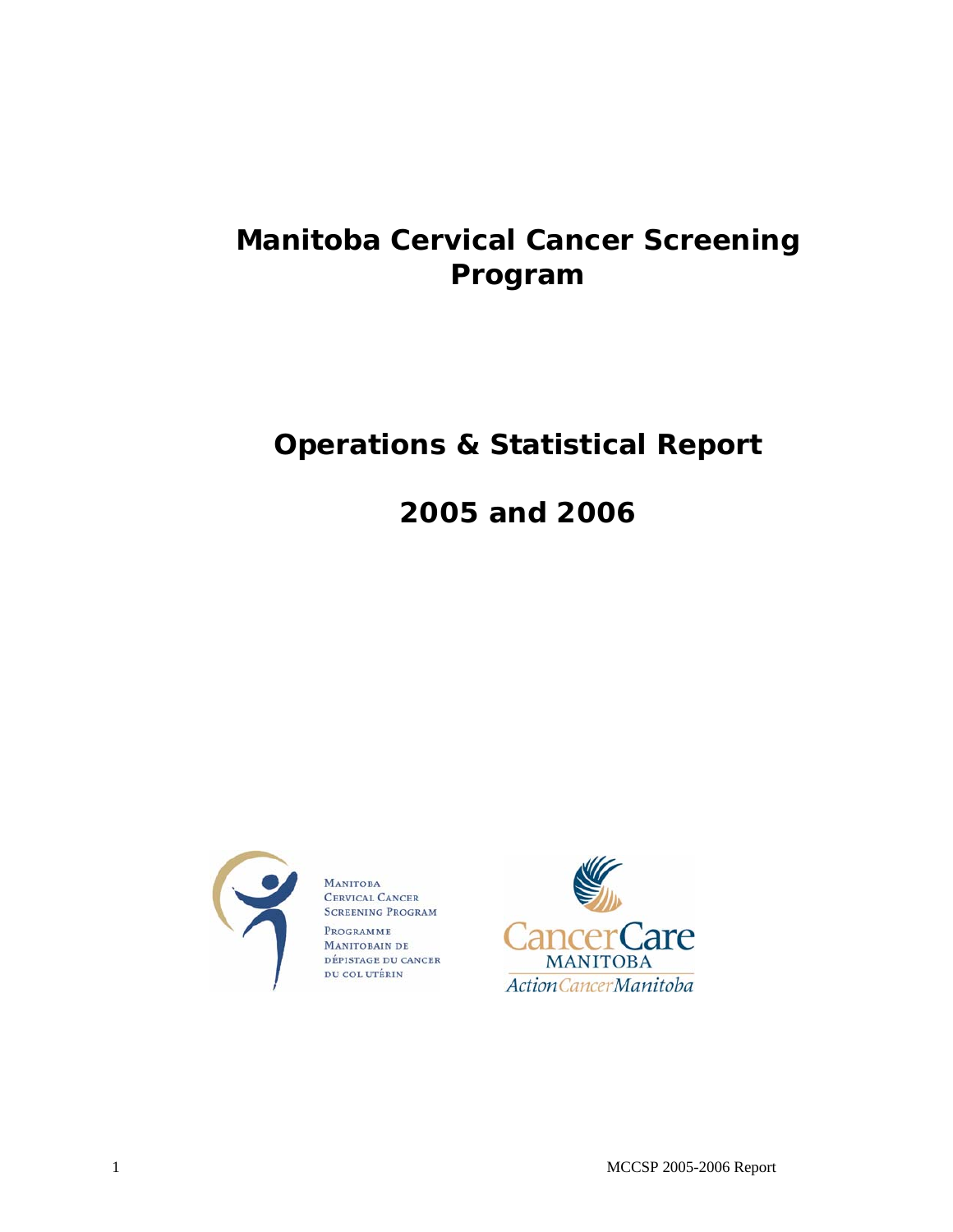# **Manitoba Cervical Cancer Screening Program**

# **Operations & Statistical Report**

# **2005 and 2006**



**MANITOBA** CERVICAL CANCER **SCREENING PROGRAM** PROGRAMME MANITOBAIN DE DÉPISTAGE DU CANCER DU COL UTÉRIN



1 MCCSP 2005-2006 Report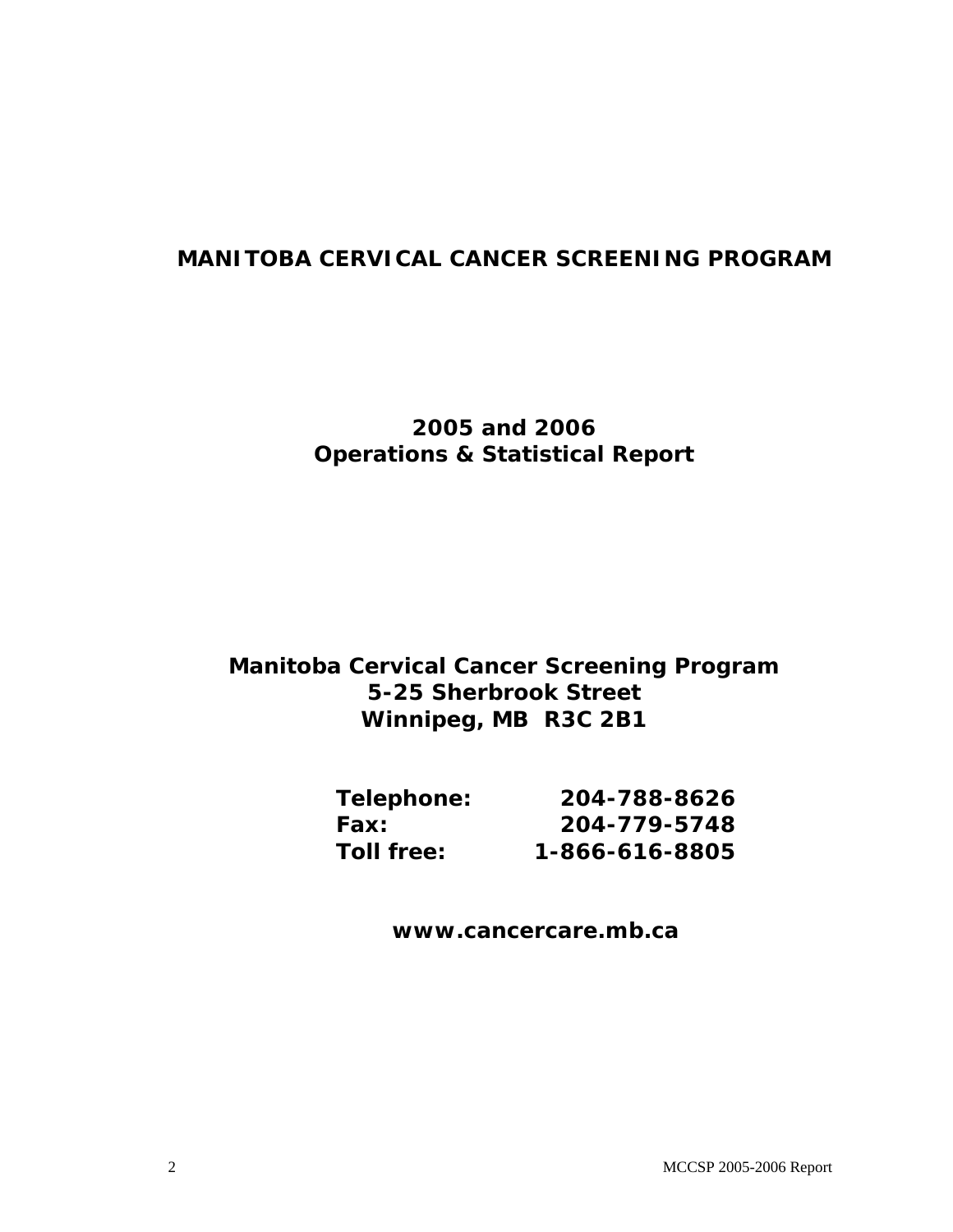# **MANITOBA CERVICAL CANCER SCREENING PROGRAM**

# **2005 and 2006 Operations & Statistical Report**

# **Manitoba Cervical Cancer Screening Program 5-25 Sherbrook Street Winnipeg, MB R3C 2B1**

| Telephone:        | 204-788-8626   |
|-------------------|----------------|
| Fax:              | 204-779-5748   |
| <b>Toll free:</b> | 1-866-616-8805 |

**www.cancercare.mb.ca**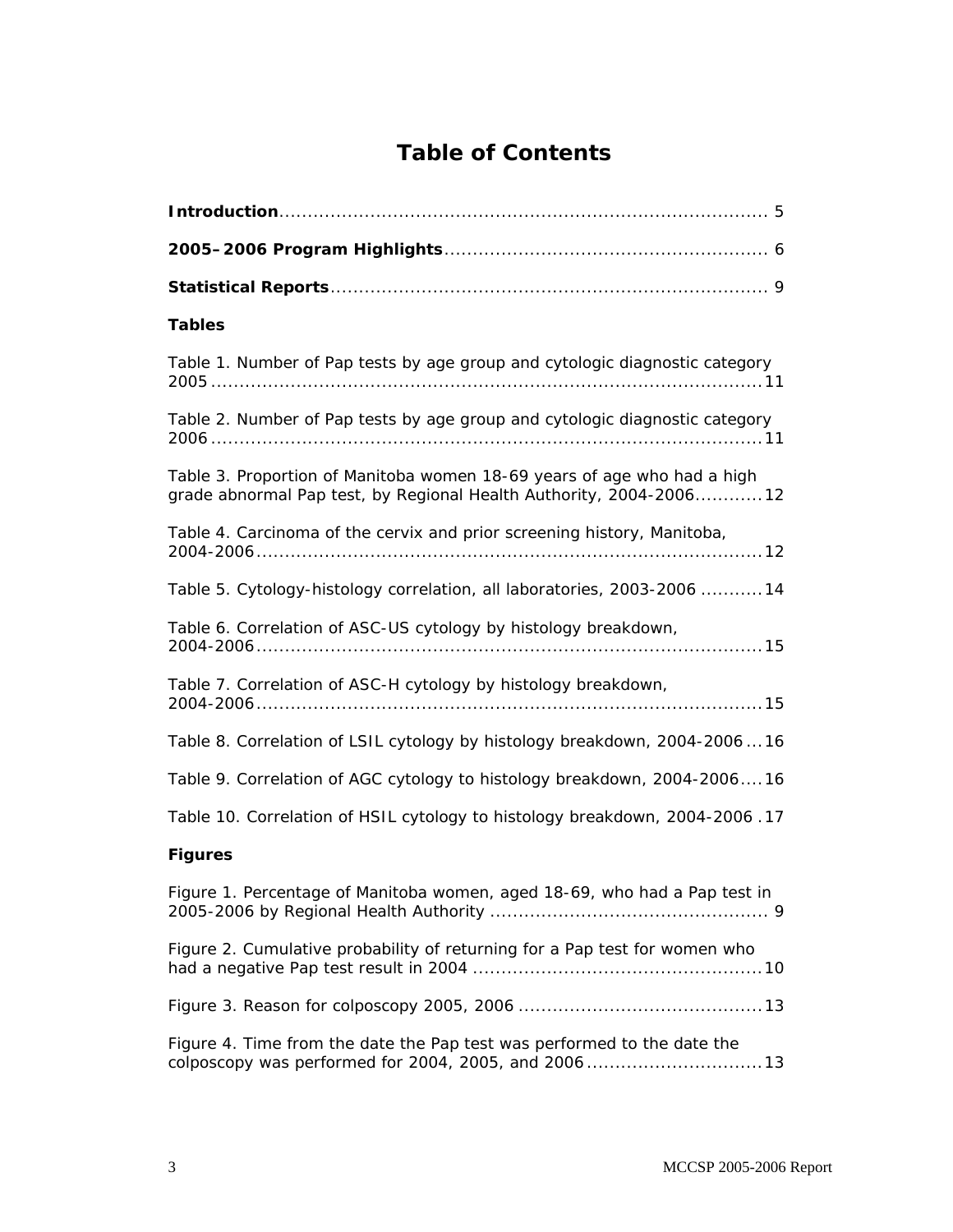# **Table of Contents**

| <b>Tables</b>                                                                                                                                  |
|------------------------------------------------------------------------------------------------------------------------------------------------|
| Table 1. Number of Pap tests by age group and cytologic diagnostic category                                                                    |
| Table 2. Number of Pap tests by age group and cytologic diagnostic category                                                                    |
| Table 3. Proportion of Manitoba women 18-69 years of age who had a high<br>grade abnormal Pap test, by Regional Health Authority, 2004-2006 12 |
| Table 4. Carcinoma of the cervix and prior screening history, Manitoba,                                                                        |
| Table 5. Cytology-histology correlation, all laboratories, 2003-2006 14                                                                        |
| Table 6. Correlation of ASC-US cytology by histology breakdown,                                                                                |
| Table 7. Correlation of ASC-H cytology by histology breakdown,                                                                                 |
| Table 8. Correlation of LSIL cytology by histology breakdown, 2004-200616                                                                      |
| Table 9. Correlation of AGC cytology to histology breakdown, 2004-200616                                                                       |
| Table 10. Correlation of HSIL cytology to histology breakdown, 2004-2006.17                                                                    |
| <b>Figures</b>                                                                                                                                 |
| Figure 1. Percentage of Manitoba women, aged 18-69, who had a Pap test in                                                                      |
| Figure 2. Cumulative probability of returning for a Pap test for women who                                                                     |
|                                                                                                                                                |
| Figure 4. Time from the date the Pap test was performed to the date the<br>colposcopy was performed for 2004, 2005, and 200613                 |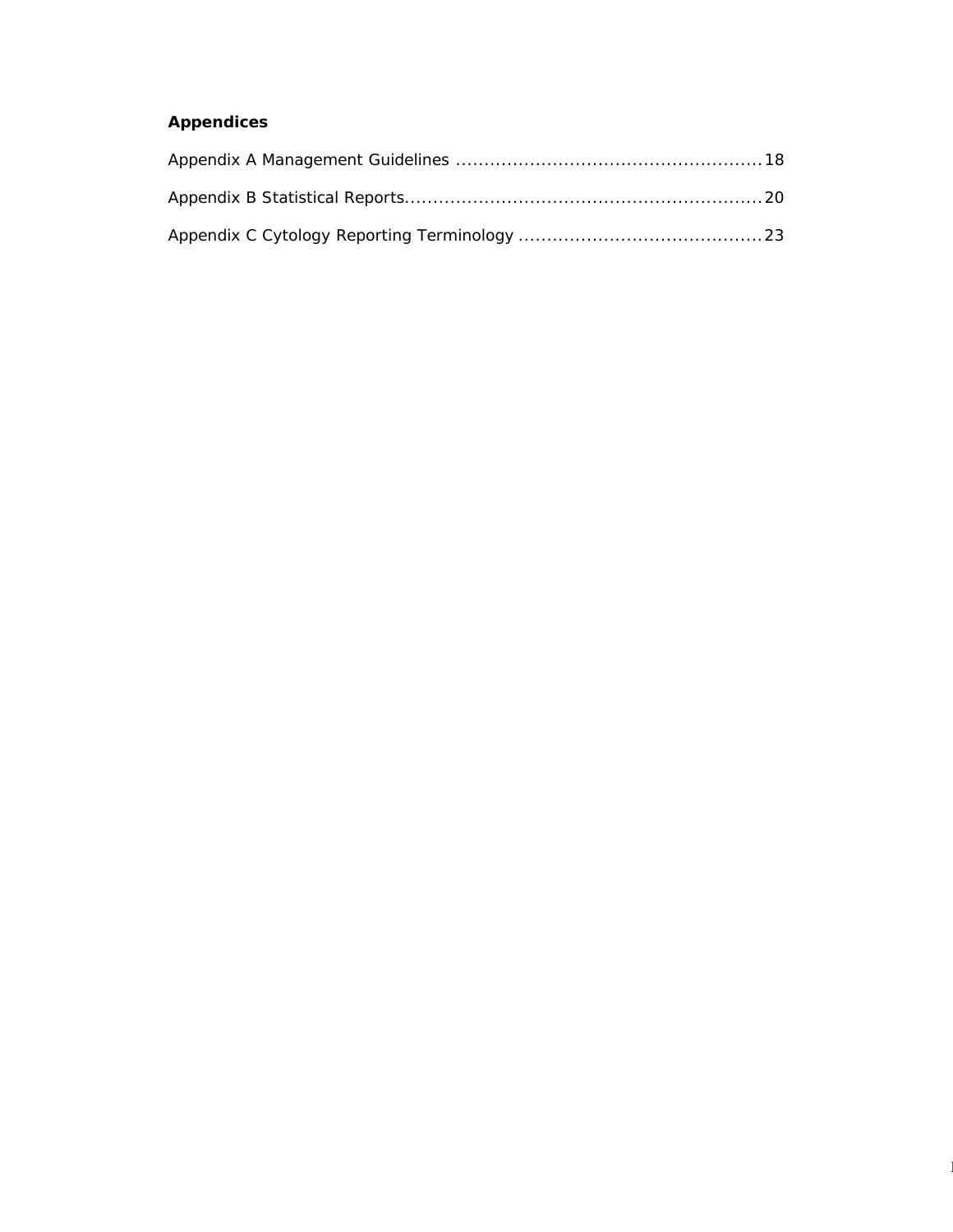# **Appendices**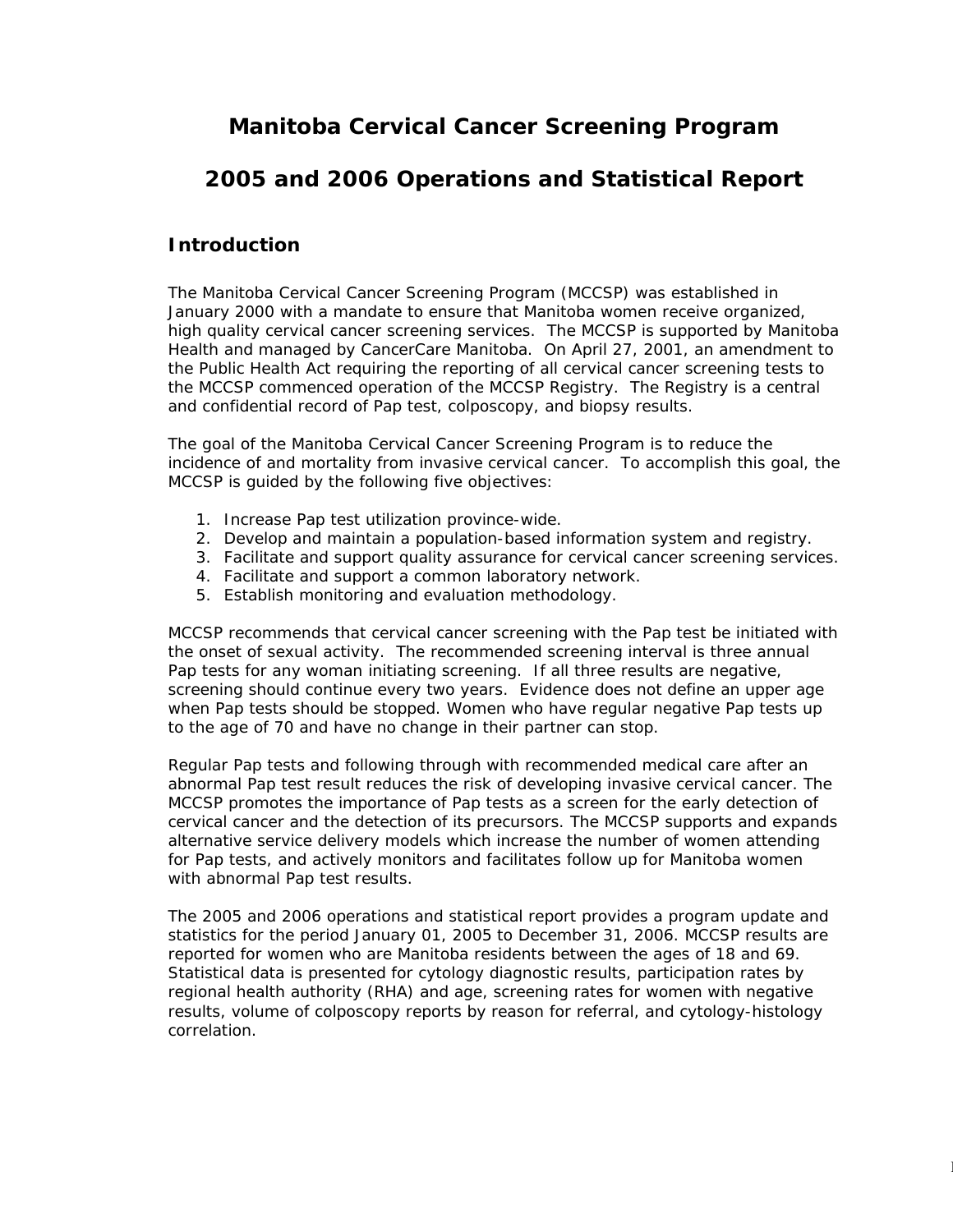# **Manitoba Cervical Cancer Screening Program**

# **2005 and 2006 Operations and Statistical Report**

# **Introduction**

The Manitoba Cervical Cancer Screening Program (MCCSP) was established in January 2000 with a mandate to ensure that Manitoba women receive organized, high quality cervical cancer screening services. The MCCSP is supported by Manitoba Health and managed by CancerCare Manitoba. On April 27, 2001, an amendment to the Public Health Act requiring the reporting of all cervical cancer screening tests to the MCCSP commenced operation of the MCCSP Registry. The Registry is a central and confidential record of Pap test, colposcopy, and biopsy results.

The goal of the Manitoba Cervical Cancer Screening Program is to reduce the incidence of and mortality from invasive cervical cancer. To accomplish this goal, the MCCSP is guided by the following five objectives:

- 1. Increase Pap test utilization province-wide.
- 2. Develop and maintain a population-based information system and registry.
- 3. Facilitate and support quality assurance for cervical cancer screening services.
- 4. Facilitate and support a common laboratory network.
- 5. Establish monitoring and evaluation methodology.

MCCSP recommends that cervical cancer screening with the Pap test be initiated with the onset of sexual activity. The recommended screening interval is three annual Pap tests for any woman initiating screening. If all three results are negative, screening should continue every two years. Evidence does not define an upper age when Pap tests should be stopped. Women who have regular negative Pap tests up to the age of 70 and have no change in their partner can stop.

Regular Pap tests and following through with recommended medical care after an abnormal Pap test result reduces the risk of developing invasive cervical cancer. The MCCSP promotes the importance of Pap tests as a screen for the early detection of cervical cancer and the detection of its precursors. The MCCSP supports and expands alternative service delivery models which increase the number of women attending for Pap tests, and actively monitors and facilitates follow up for Manitoba women with abnormal Pap test results.

The 2005 and 2006 operations and statistical report provides a program update and statistics for the period January 01, 2005 to December 31, 2006. MCCSP results are reported for women who are Manitoba residents between the ages of 18 and 69. Statistical data is presented for cytology diagnostic results, participation rates by regional health authority (RHA) and age, screening rates for women with negative results, volume of colposcopy reports by reason for referral, and cytology-histology correlation.

 $\sim$  McCsP  $\sim$  McCsP  $\sim$  McCsP  $\sim$  McCsP  $\sim$  McCsP  $\sim$  McCsP  $\sim$  McCsP  $\sim$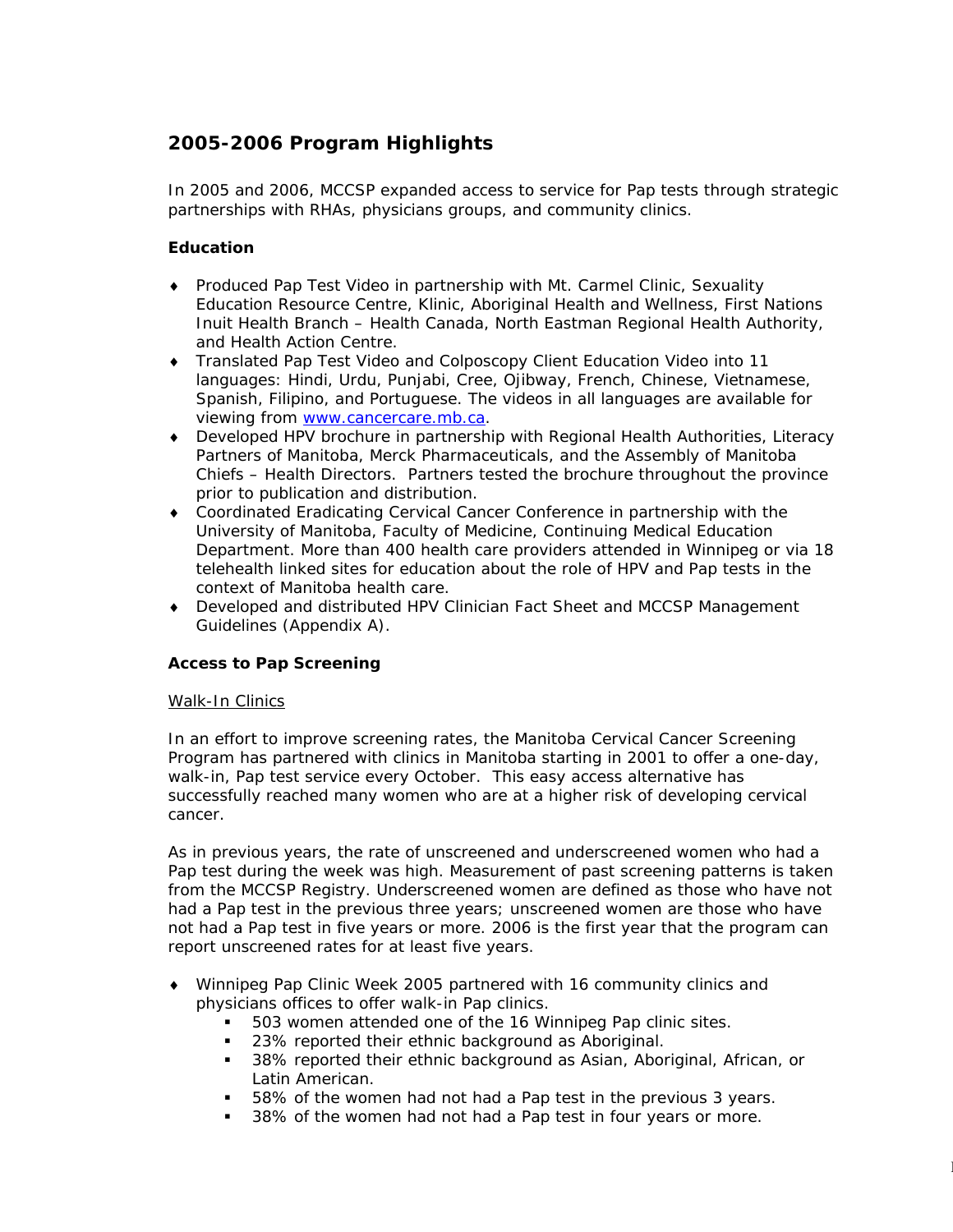# **2005-2006 Program Highlights**

In 2005 and 2006, MCCSP expanded access to service for Pap tests through strategic partnerships with RHAs, physicians groups, and community clinics.

## *Education*

- ♦ Produced Pap Test Video in partnership with Mt. Carmel Clinic, Sexuality Education Resource Centre, Klinic, Aboriginal Health and Wellness, First Nations Inuit Health Branch – Health Canada, North Eastman Regional Health Authority, and Health Action Centre.
- ♦ Translated Pap Test Video and Colposcopy Client Education Video into 11 languages: Hindi, Urdu, Punjabi, Cree, Ojibway, French, Chinese, Vietnamese, Spanish, Filipino, and Portuguese. The videos in all languages are available for viewing from [www.cancercare.mb.ca.](http://www.cancercare.mb.ca/)
- ♦ Developed HPV brochure in partnership with Regional Health Authorities, Literacy Partners of Manitoba, Merck Pharmaceuticals, and the Assembly of Manitoba Chiefs – Health Directors. Partners tested the brochure throughout the province prior to publication and distribution.
- ♦ Coordinated *Eradicating Cervical Cancer Conference* in partnership with the University of Manitoba, Faculty of Medicine, Continuing Medical Education Department. More than 400 health care providers attended in Winnipeg or via 18 telehealth linked sites for education about the role of HPV and Pap tests in the context of Manitoba health care.
- ♦ Developed and distributed HPV Clinician Fact Sheet and MCCSP Management Guidelines (Appendix A).

## *Access to Pap Screening*

### Walk-In Clinics

In an effort to improve screening rates, the Manitoba Cervical Cancer Screening Program has partnered with clinics in Manitoba starting in 2001 to offer a one-day, walk-in, Pap test service every October. This easy access alternative has successfully reached many women who are at a higher risk of developing cervical cancer.

As in previous years, the rate of unscreened and underscreened women who had a Pap test during the week was high. Measurement of past screening patterns is taken from the MCCSP Registry. Underscreened women are defined as those who have not had a Pap test in the previous three years; unscreened women are those who have not had a Pap test in five years or more. 2006 is the first year that the program can report unscreened rates for at least five years.

- ♦ Winnipeg Pap Clinic Week 2005 partnered with 16 community clinics and physicians offices to offer walk-in Pap clinics.
	- 503 women attended one of the 16 Winnipeg Pap clinic sites.
	- **23% reported their ethnic background as Aboriginal.**
	- 38% reported their ethnic background as Asian, Aboriginal, African, or Latin American.

 $\mathcal{O}(\mathcal{O}_\mathcal{A})$  and  $\mathcal{O}(\mathcal{O}_\mathcal{A})$  and  $\mathcal{O}(\mathcal{O}_\mathcal{A})$  and  $\mathcal{O}(\mathcal{O}_\mathcal{A})$ 

- 58% of the women had not had a Pap test in the previous 3 years.
- **38% of the women had not had a Pap test in four years or more.**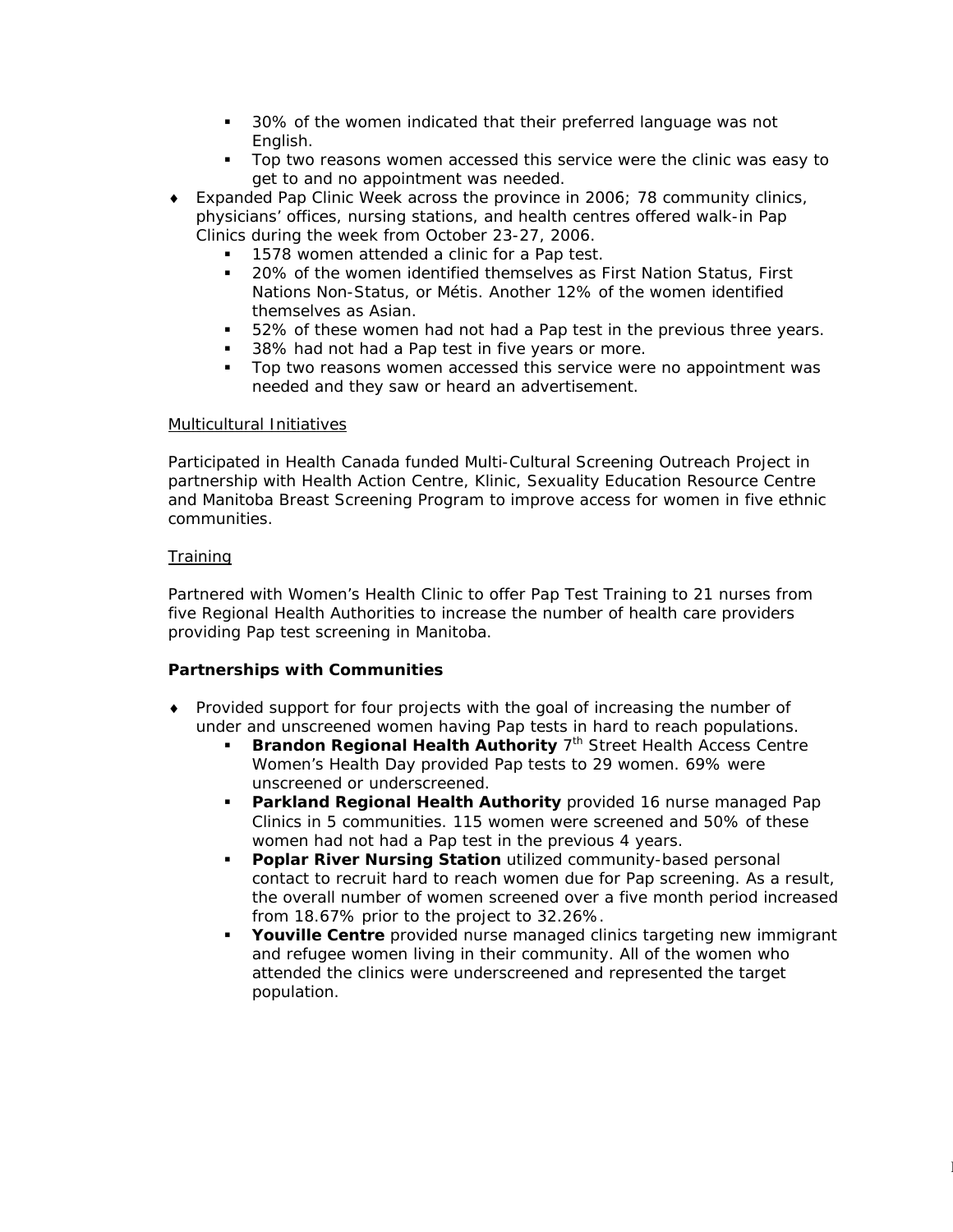- 30% of the women indicated that their preferred language was not English.
- **Top two reasons women accessed this service were the clinic was easy to** get to and no appointment was needed.
- ♦ Expanded Pap Clinic Week across the province in 2006; 78 community clinics, physicians' offices, nursing stations, and health centres offered walk-in Pap Clinics during the week from October 23-27, 2006.
	- 1578 women attended a clinic for a Pap test.
	- 20% of the women identified themselves as First Nation Status, First Nations Non-Status, or Métis. Another 12% of the women identified themselves as Asian.
	- 52% of these women had not had a Pap test in the previous three years.
	- 38% had not had a Pap test in five years or more.
	- Top two reasons women accessed this service were no appointment was needed and they saw or heard an advertisement.

#### Multicultural Initiatives

Participated in Health Canada funded Multi-Cultural Screening Outreach Project in partnership with Health Action Centre, Klinic, Sexuality Education Resource Centre and Manitoba Breast Screening Program to improve access for women in five ethnic communities.

### **Training**

Partnered with Women's Health Clinic to offer Pap Test Training to 21 nurses from five Regional Health Authorities to increase the number of health care providers providing Pap test screening in Manitoba.

### *Partnerships with Communities*

- ♦ Provided support for four projects with the goal of increasing the number of under and unscreened women having Pap tests in hard to reach populations.
	- **Brandon Regional Health Authority 7<sup>th</sup> Street Health Access Centre** Women's Health Day provided Pap tests to 29 women. 69% were unscreened or underscreened.
	- **Parkland Regional Health Authority** provided 16 nurse managed Pap Clinics in 5 communities. 115 women were screened and 50% of these women had not had a Pap test in the previous 4 years.
	- **Poplar River Nursing Station** utilized community-based personal contact to recruit hard to reach women due for Pap screening. As a result, the overall number of women screened over a five month period increased from 18.67% prior to the project to 32.26%.
	- **Youville Centre** provided nurse managed clinics targeting new immigrant and refugee women living in their community. All of the women who attended the clinics were underscreened and represented the target population.

 $\mathcal{O}(\mathcal{M}_{\mathrm{C}})$  and  $\mathcal{O}(\mathcal{M}_{\mathrm{C}})$  and  $\mathcal{O}(\mathcal{M}_{\mathrm{C}})$  and  $\mathcal{O}(\mathcal{M}_{\mathrm{C}})$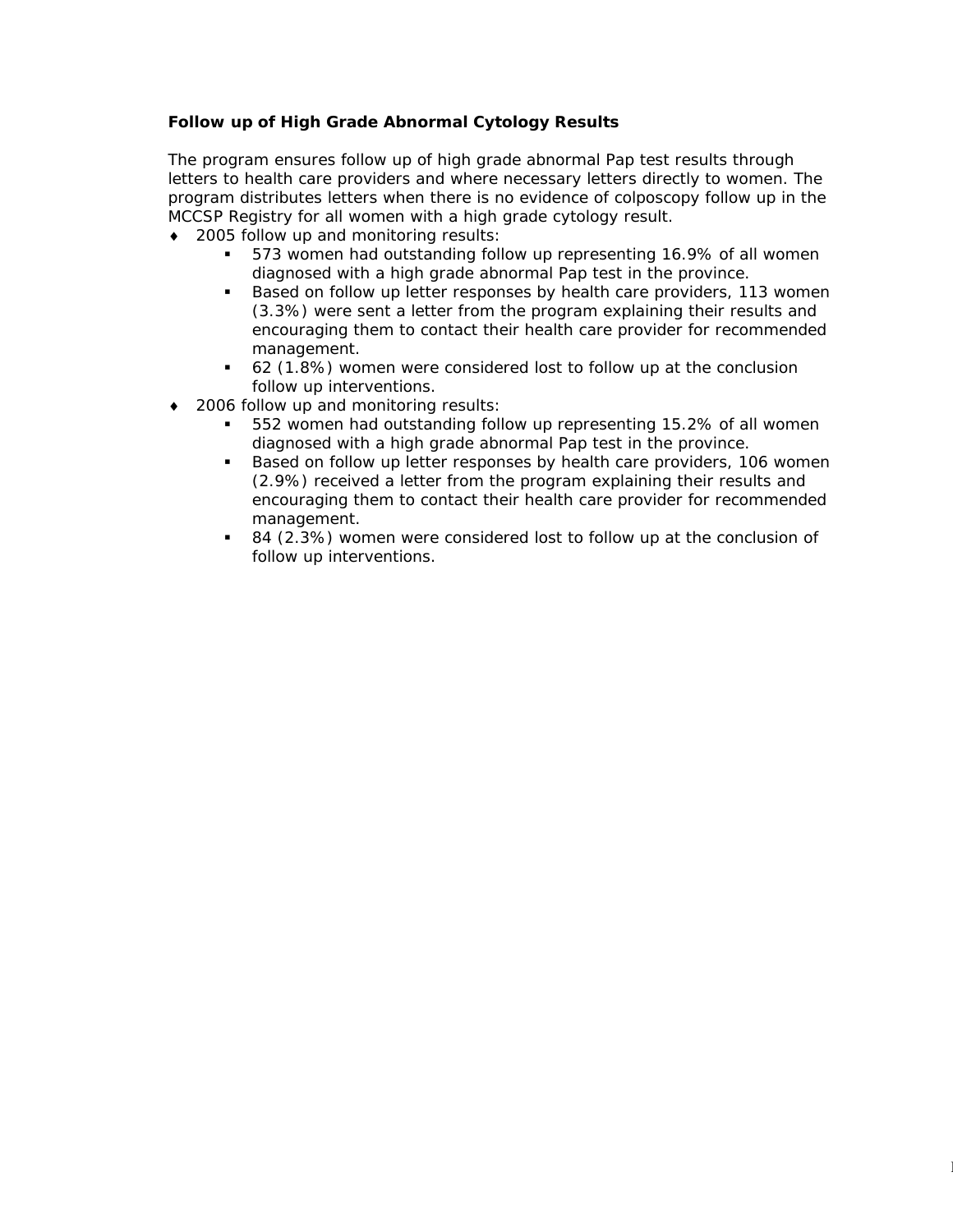## *Follow up of High Grade Abnormal Cytology Results*

The program ensures follow up of high grade abnormal Pap test results through letters to health care providers and where necessary letters directly to women. The program distributes letters when there is no evidence of colposcopy follow up in the MCCSP Registry for all women with a high grade cytology result.

- ♦ 2005 follow up and monitoring results:
	- 573 women had outstanding follow up representing 16.9% of all women diagnosed with a high grade abnormal Pap test in the province.
	- **Based on follow up letter responses by health care providers, 113 women** (3.3%) were sent a letter from the program explaining their results and encouraging them to contact their health care provider for recommended management.
	- 62 (1.8%) women were considered lost to follow up at the conclusion follow up interventions.
- 2006 follow up and monitoring results:
	- 552 women had outstanding follow up representing 15.2% of all women diagnosed with a high grade abnormal Pap test in the province.
	- Based on follow up letter responses by health care providers, 106 women (2.9%) received a letter from the program explaining their results and encouraging them to contact their health care provider for recommended management.
	- 84 (2.3%) women were considered lost to follow up at the conclusion of follow up interventions.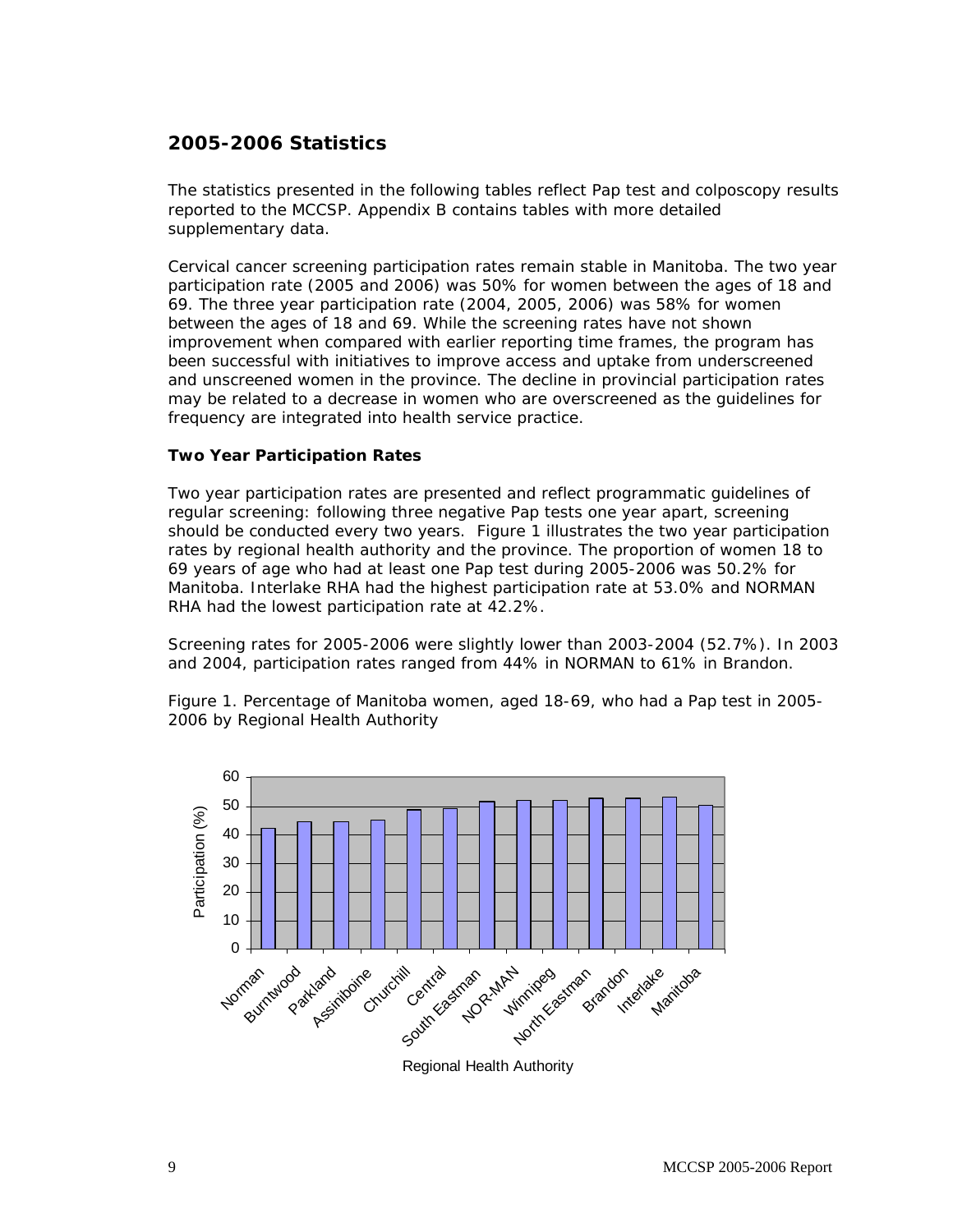# **2005-2006 Statistics**

The statistics presented in the following tables reflect Pap test and colposcopy results reported to the MCCSP. Appendix B contains tables with more detailed supplementary data.

Cervical cancer screening participation rates remain stable in Manitoba. The two year participation rate (2005 and 2006) was 50% for women between the ages of 18 and 69. The three year participation rate (2004, 2005, 2006) was 58% for women between the ages of 18 and 69. While the screening rates have not shown improvement when compared with earlier reporting time frames, the program has been successful with initiatives to improve access and uptake from underscreened and unscreened women in the province. The decline in provincial participation rates may be related to a decrease in women who are overscreened as the guidelines for frequency are integrated into health service practice.

### *Two Year Participation Rates*

Two year participation rates are presented and reflect programmatic guidelines of regular screening: following three negative Pap tests one year apart, screening should be conducted every two years. Figure 1 illustrates the two year participation rates by regional health authority and the province. The proportion of women 18 to 69 years of age who had at least one Pap test during 2005-2006 was 50.2% for Manitoba. Interlake RHA had the highest participation rate at 53.0% and NORMAN RHA had the lowest participation rate at 42.2%.

Screening rates for 2005-2006 were slightly lower than 2003-2004 (52.7%). In 2003 and 2004, participation rates ranged from 44% in NORMAN to 61% in Brandon.

Figure 1. Percentage of Manitoba women, aged 18-69, who had a Pap test in 2005- 2006 by Regional Health Authority



Regional Health Authority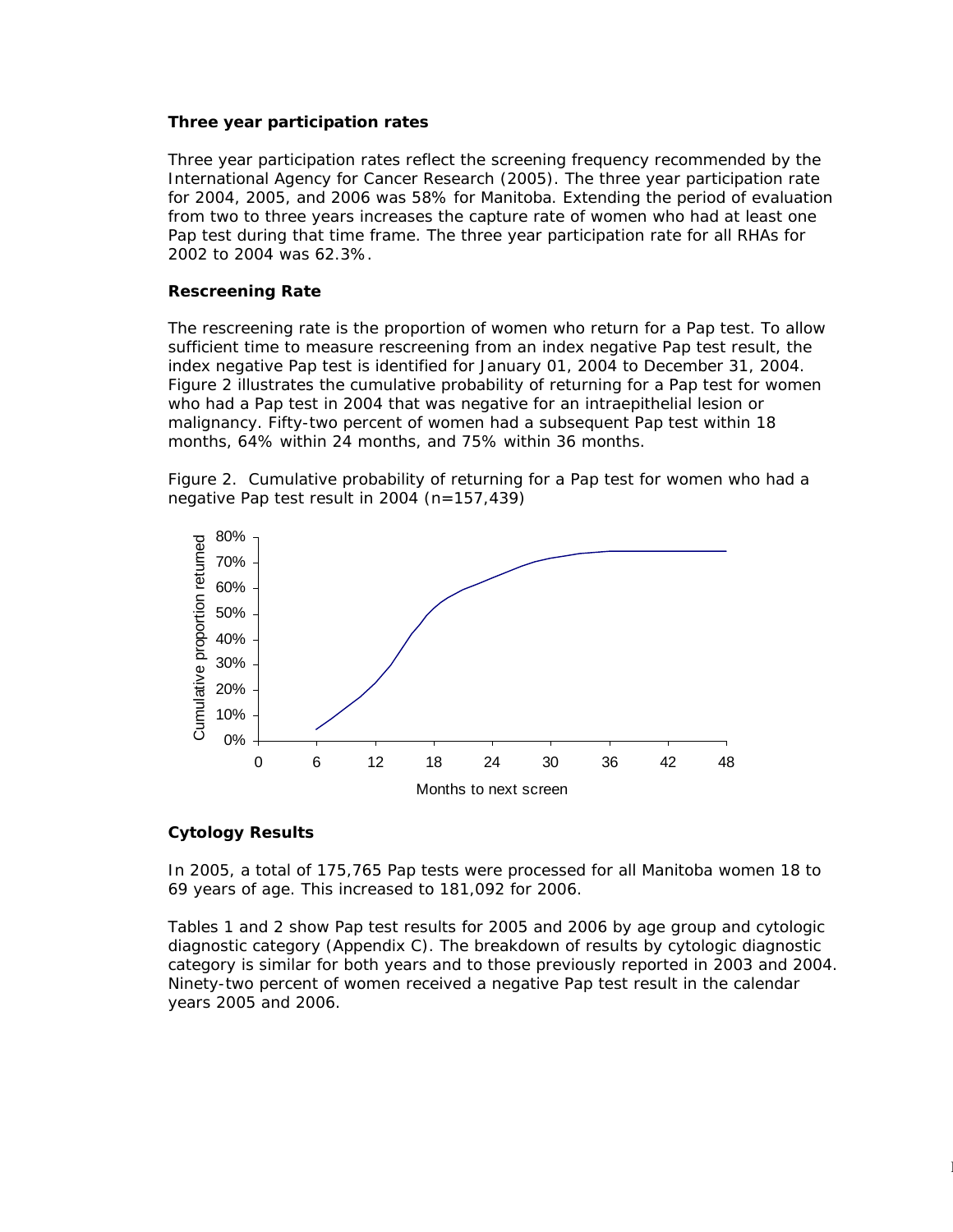#### *Three year participation rates*

Three year participation rates reflect the screening frequency recommended by the International Agency for Cancer Research (2005). The three year participation rate for 2004, 2005, and 2006 was 58% for Manitoba. Extending the period of evaluation from two to three years increases the capture rate of women who had at least one Pap test during that time frame. The three year participation rate for all RHAs for 2002 to 2004 was 62.3%.

#### *Rescreening Rate*

The rescreening rate is the proportion of women who return for a Pap test. To allow sufficient time to measure rescreening from an index negative Pap test result, the index negative Pap test is identified for January 01, 2004 to December 31, 2004. Figure 2 illustrates the cumulative probability of returning for a Pap test for women who had a Pap test in 2004 that was negative for an intraepithelial lesion or malignancy. Fifty-two percent of women had a subsequent Pap test within 18 months, 64% within 24 months, and 75% within 36 months.

Figure 2. Cumulative probability of returning for a Pap test for women who had a negative Pap test result in 2004 (n=157,439)



#### *Cytology Results*

In 2005, a total of 175,765 Pap tests were processed for all Manitoba women 18 to 69 years of age. This increased to 181,092 for 2006.

Tables 1 and 2 show Pap test results for 2005 and 2006 by age group and cytologic diagnostic category (Appendix C). The breakdown of results by cytologic diagnostic category is similar for both years and to those previously reported in 2003 and 2004. Ninety-two percent of women received a negative Pap test result in the calendar years 2005 and 2006.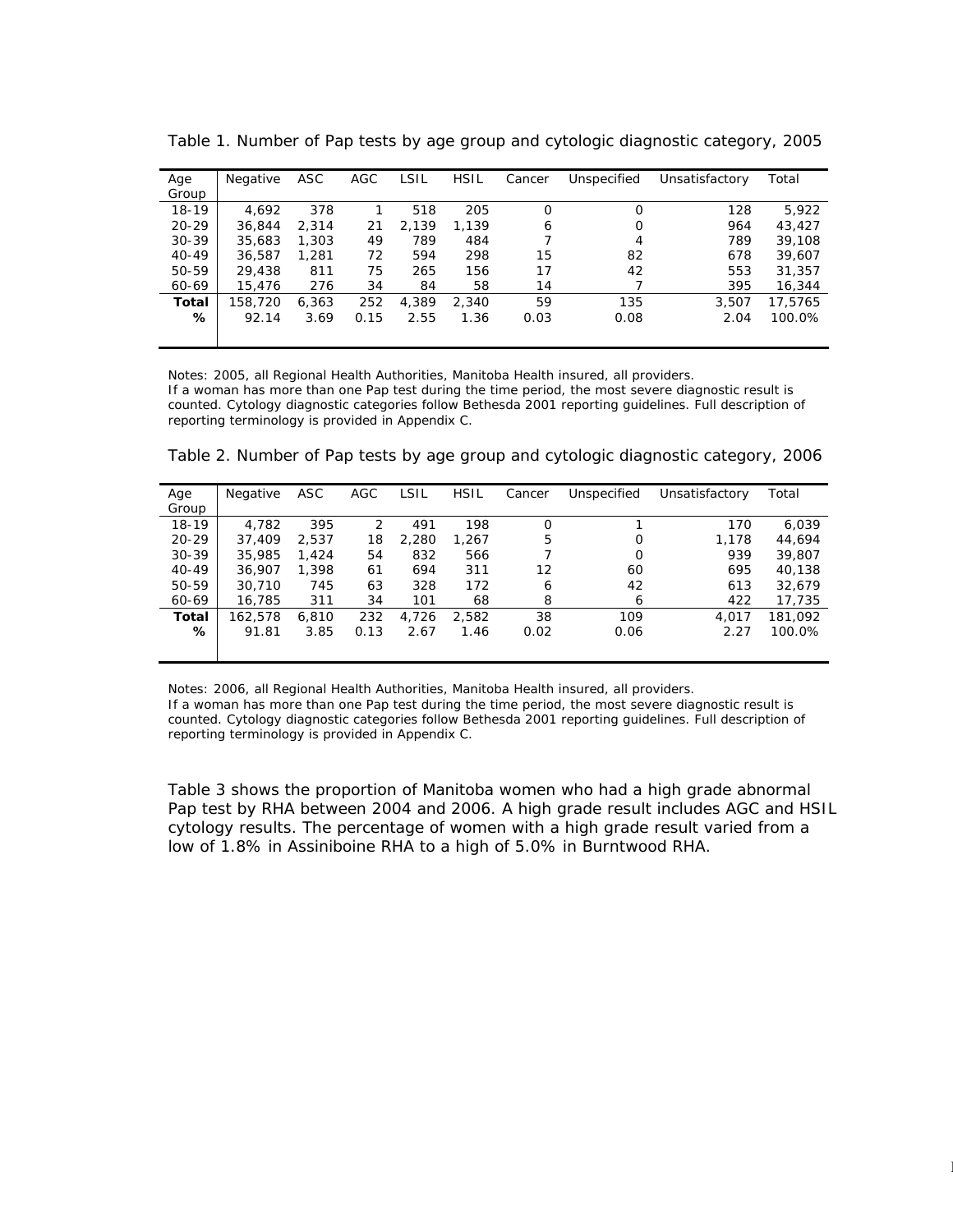| Age       | Negative | ASC   | AGC  | LSIL  | <b>HSIL</b> | Cancer   | Unspecified | Unsatisfactory | Total   |
|-----------|----------|-------|------|-------|-------------|----------|-------------|----------------|---------|
| Group     |          |       |      |       |             |          |             |                |         |
| 18-19     | 4.692    | 378   |      | 518   | 205         | $\Omega$ | $\Omega$    | 128            | 5.922   |
| $20 - 29$ | 36.844   | 2.314 | 21   | 2.139 | 1.139       | 6        | 0           | 964            | 43,427  |
| $30-39$   | 35,683   | 1,303 | 49   | 789   | 484         |          | 4           | 789            | 39,108  |
| $40 - 49$ | 36,587   | 1,281 | 72   | 594   | 298         | 15       | 82          | 678            | 39,607  |
| 50-59     | 29,438   | 811   | 75   | 265   | 156         | 17       | 42          | 553            | 31,357  |
| 60-69     | 15,476   | 276   | 34   | 84    | 58          | 14       |             | 395            | 16,344  |
| Total     | 158,720  | 6.363 | 252  | 4.389 | 2.340       | 59       | 135         | 3.507          | 17.5765 |
| %         | 92.14    | 3.69  | 0.15 | 2.55  | 1.36        | 0.03     | 0.08        | 2.04           | 100.0%  |
|           |          |       |      |       |             |          |             |                |         |

Table 1. Number of Pap tests by age group and cytologic diagnostic category, 2005

Notes: 2005, all Regional Health Authorities, Manitoba Health insured, all providers.

If a woman has more than one Pap test during the time period, the most severe diagnostic result is counted. Cytology diagnostic categories follow Bethesda 2001 reporting guidelines. Full description of reporting terminology is provided in Appendix C.

| Age       | Negative | ASC   | AGC  | LSIL  | <b>HSIL</b> | Cancer | Unspecified | Unsatisfactory | Total   |
|-----------|----------|-------|------|-------|-------------|--------|-------------|----------------|---------|
| Group     |          |       |      |       |             |        |             |                |         |
| $18 - 19$ | 4.782    | 395   | 2    | 491   | 198         | Ο      |             | 170            | 6.039   |
| $20 - 29$ | 37,409   | 2.537 | 18   | 2,280 | 1.267       | 5      | 0           | 1,178          | 44.694  |
| $30 - 39$ | 35,985   | 1.424 | 54   | 832   | 566         |        | 0           | 939            | 39,807  |
| $40 - 49$ | 36,907   | 1,398 | 61   | 694   | 311         | 12     | 60          | 695            | 40.138  |
| 50-59     | 30,710   | 745   | 63   | 328   | 172         | 6      | 42          | 613            | 32.679  |
| 60-69     | 16.785   | 311   | 34   | 101   | 68          | 8      | 6           | 422            | 17,735  |
| Total     | 162,578  | 6,810 | 232  | 4.726 | 2.582       | 38     | 109         | 4.017          | 181.092 |
| ℅         | 91.81    | 3.85  | 0.13 | 2.67  | 1.46        | 0.02   | 0.06        | 2.27           | 100.0%  |
|           |          |       |      |       |             |        |             |                |         |
|           |          |       |      |       |             |        |             |                |         |

Table 2. Number of Pap tests by age group and cytologic diagnostic category, 2006

Notes: 2006, all Regional Health Authorities, Manitoba Health insured, all providers. If a woman has more than one Pap test during the time period, the most severe diagnostic result is counted. Cytology diagnostic categories follow Bethesda 2001 reporting guidelines. Full description of reporting terminology is provided in Appendix C.

Table 3 shows the proportion of Manitoba women who had a high grade abnormal Pap test by RHA between 2004 and 2006. A high grade result includes AGC and HSIL cytology results. The percentage of women with a high grade result varied from a low of 1.8% in Assiniboine RHA to a high of 5.0% in Burntwood RHA.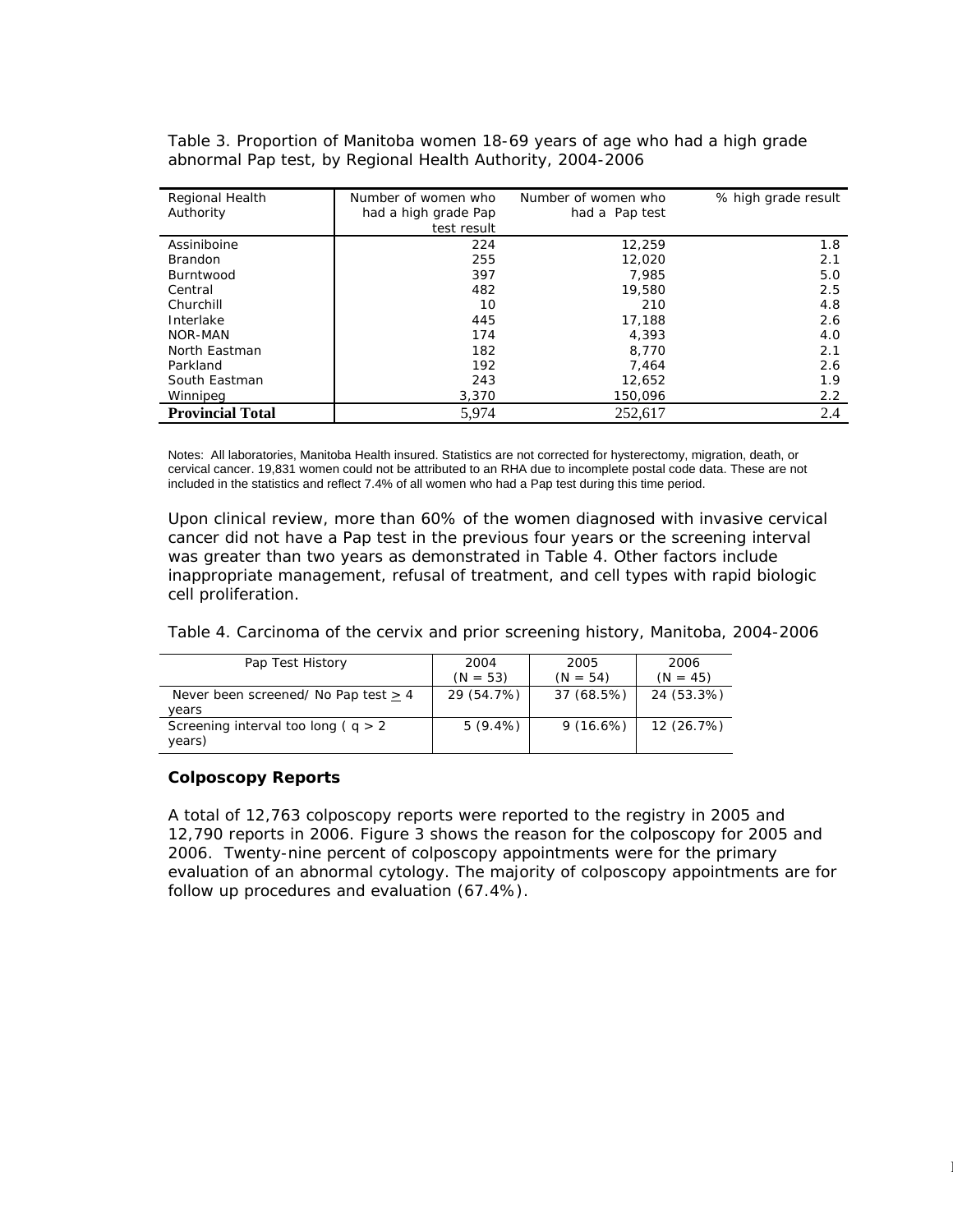Table 3. Proportion of Manitoba women 18-69 years of age who had a high grade abnormal Pap test, by Regional Health Authority, 2004-2006

| Regional Health         | Number of women who  | Number of women who | % high grade result |
|-------------------------|----------------------|---------------------|---------------------|
| Authority               | had a high grade Pap | had a Pap test      |                     |
|                         | test result          |                     |                     |
| Assiniboine             | 224                  | 12,259              | 1.8                 |
| <b>Brandon</b>          | 255                  | 12.020              | 2.1                 |
| Burntwood               | 397                  | 7.985               | 5.0                 |
| Central                 | 482                  | 19,580              | 2.5                 |
| Churchill               | 10                   | 210                 | 4.8                 |
| Interlake               | 445                  | 17,188              | 2.6                 |
| NOR-MAN                 | 174                  | 4.393               | 4.0                 |
| North Eastman           | 182                  | 8,770               | 2.1                 |
| Parkland                | 192                  | 7.464               | 2.6                 |
| South Eastman           | 243                  | 12.652              | 1.9                 |
| Winnipeg                | 3,370                | 150.096             | 2.2                 |
| <b>Provincial Total</b> | 5,974                | 252,617             | 2.4                 |

Notes: All laboratories, Manitoba Health insured. Statistics are not corrected for hysterectomy, migration, death, or cervical cancer. 19,831 women could not be attributed to an RHA due to incomplete postal code data. These are not included in the statistics and reflect 7.4% of all women who had a Pap test during this time period.

Upon clinical review, more than 60% of the women diagnosed with invasive cervical cancer did not have a Pap test in the previous four years or the screening interval was greater than two years as demonstrated in Table 4. Other factors include inappropriate management, refusal of treatment, and cell types with rapid biologic cell proliferation.

Table 4. Carcinoma of the cervix and prior screening history, Manitoba, 2004-2006

| Pap Test History                                   | 2004<br>$(N = 53)$ | 2005<br>$(N = 54)$ | 2006<br>$(N = 45)$ |
|----------------------------------------------------|--------------------|--------------------|--------------------|
| Never been screened/ No Pap test $\geq$ 4<br>vears | 29 (54.7%)         | 37 (68.5%)         | 24 (53.3%)         |
| Screening interval too long ( $q > 2$<br>years)    | $5(9.4\%)$         | 9(16.6%)           | 12 (26.7%)         |

#### *Colposcopy Reports*

A total of 12,763 colposcopy reports were reported to the registry in 2005 and 12,790 reports in 2006. Figure 3 shows the reason for the colposcopy for 2005 and 2006. Twenty-nine percent of colposcopy appointments were for the primary evaluation of an abnormal cytology. The majority of colposcopy appointments are for follow up procedures and evaluation (67.4%).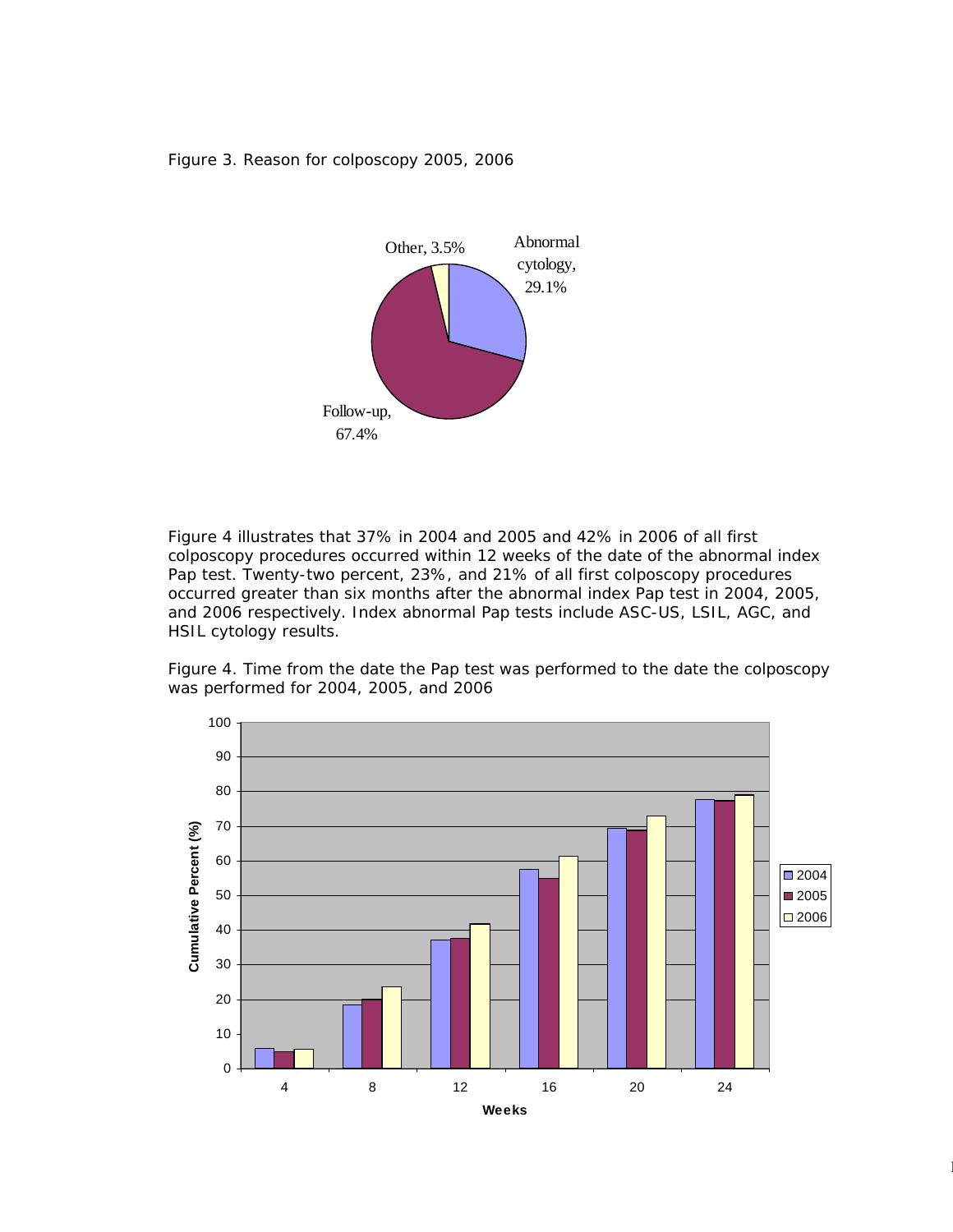Figure 3. Reason for colposcopy 2005, 2006



Figure 4 illustrates that 37% in 2004 and 2005 and 42% in 2006 of all first colposcopy procedures occurred within 12 weeks of the date of the abnormal index Pap test. Twenty-two percent, 23%, and 21% of all first colposcopy procedures occurred greater than six months after the abnormal index Pap test in 2004, 2005, and 2006 respectively. Index abnormal Pap tests include ASC-US, LSIL, AGC, and HSIL cytology results.

Figure 4. Time from the date the Pap test was performed to the date the colposcopy was performed for 2004, 2005, and 2006



 $13.3\pm0.000$   $13.3\pm0.000$   $13.3\pm0.000$   $13.3\pm0.000$   $13.3\pm0.000$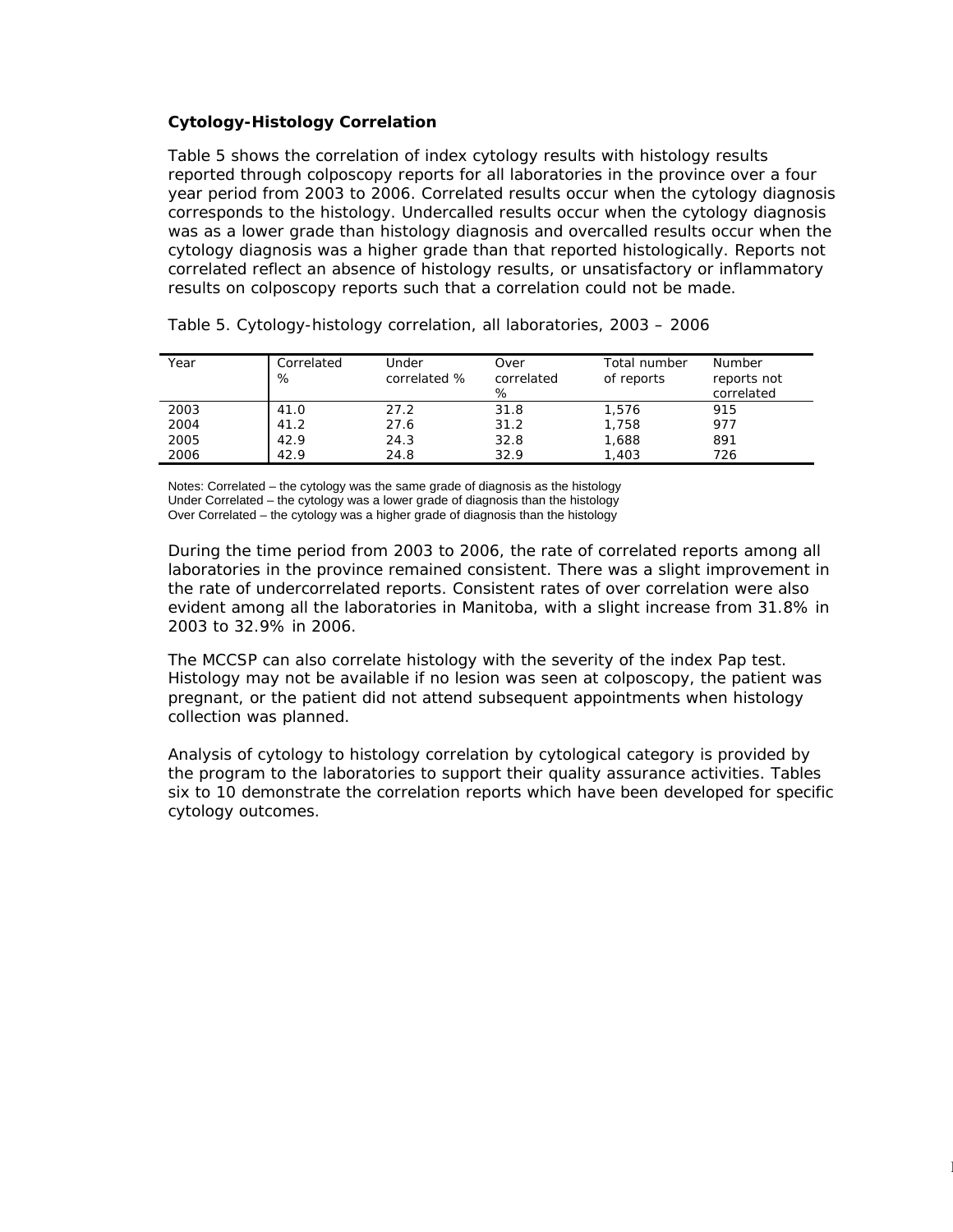### *Cytology-Histology Correlation*

Table 5 shows the correlation of index cytology results with histology results reported through colposcopy reports for all laboratories in the province over a four year period from 2003 to 2006. Correlated results occur when the cytology diagnosis corresponds to the histology. Undercalled results occur when the cytology diagnosis was as a lower grade than histology diagnosis and overcalled results occur when the cytology diagnosis was a higher grade than that reported histologically. Reports not correlated reflect an absence of histology results, or unsatisfactory or inflammatory results on colposcopy reports such that a correlation could not be made.

| Year | Correlated<br>% | Under<br>correlated % | Over<br>correlated<br>% | Total number<br>of reports | <b>Number</b><br>reports not<br>correlated |
|------|-----------------|-----------------------|-------------------------|----------------------------|--------------------------------------------|
| 2003 | 41.0            | 27.2                  | 31.8                    | 1.576                      | 915                                        |
| 2004 | 41.2            | 27.6                  | 31.2                    | 1,758                      | 977                                        |
| 2005 | 42.9            | 24.3                  | 32.8                    | 1,688                      | 891                                        |
| 2006 | 42.9            | 24.8                  | 32.9                    | 1.403                      | 726                                        |

Table 5. Cytology-histology correlation, all laboratories, 2003 – 2006

Notes: Correlated – the cytology was the same grade of diagnosis as the histology Under Correlated – the cytology was a lower grade of diagnosis than the histology Over Correlated – the cytology was a higher grade of diagnosis than the histology

During the time period from 2003 to 2006, the rate of correlated reports among all laboratories in the province remained consistent. There was a slight improvement in the rate of undercorrelated reports. Consistent rates of over correlation were also evident among all the laboratories in Manitoba, with a slight increase from 31.8% in 2003 to 32.9% in 2006.

The MCCSP can also correlate histology with the severity of the index Pap test. Histology may not be available if no lesion was seen at colposcopy, the patient was pregnant, or the patient did not attend subsequent appointments when histology collection was planned.

Analysis of cytology to histology correlation by cytological category is provided by the program to the laboratories to support their quality assurance activities. Tables six to 10 demonstrate the correlation reports which have been developed for specific cytology outcomes.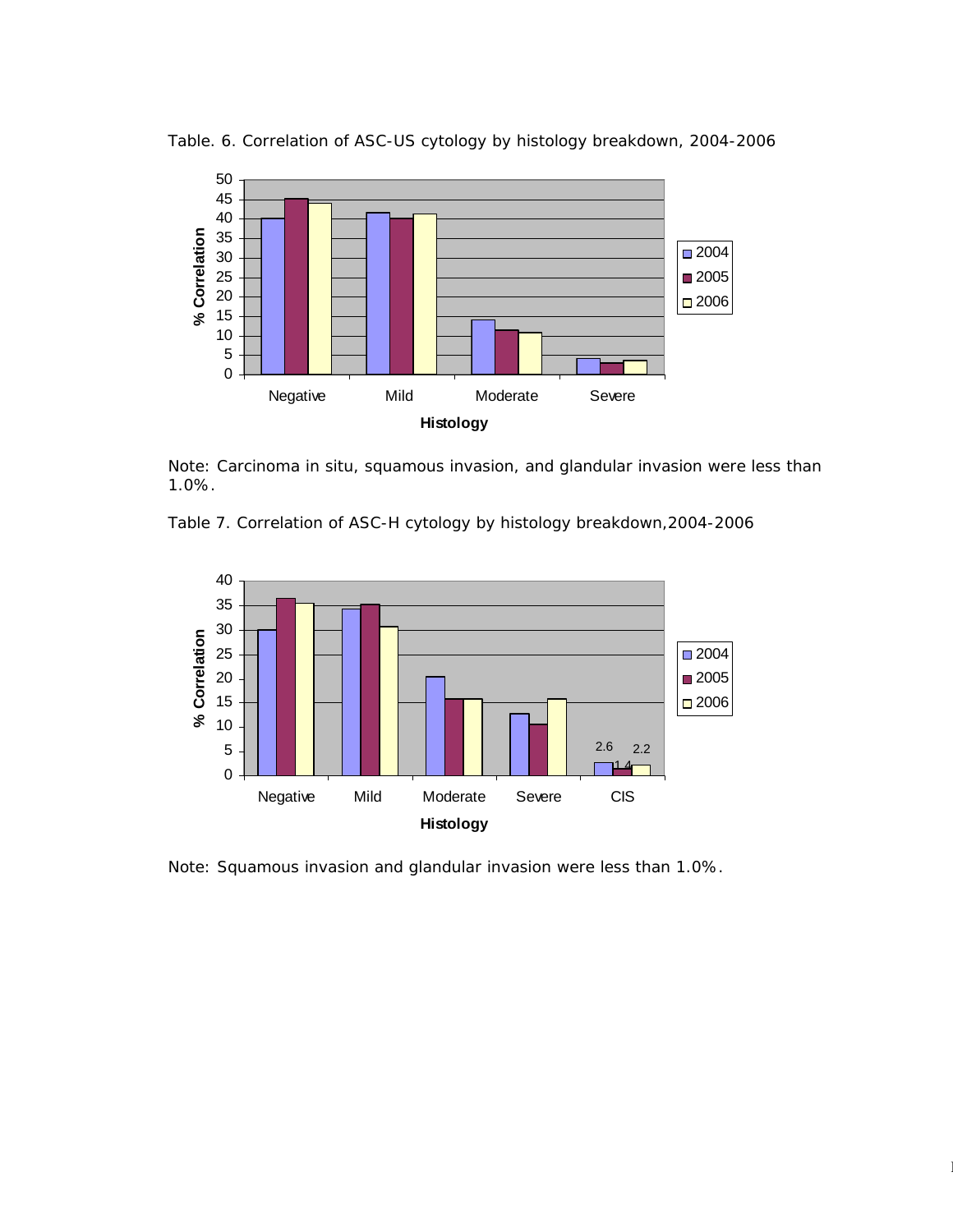

Table. 6. Correlation of ASC-US cytology by histology breakdown, 2004-2006

Note: Carcinoma in situ, squamous invasion, and glandular invasion were less than 1.0%.

Table 7. Correlation of ASC-H cytology by histology breakdown,2004-2006



Note: Squamous invasion and glandular invasion were less than 1.0%.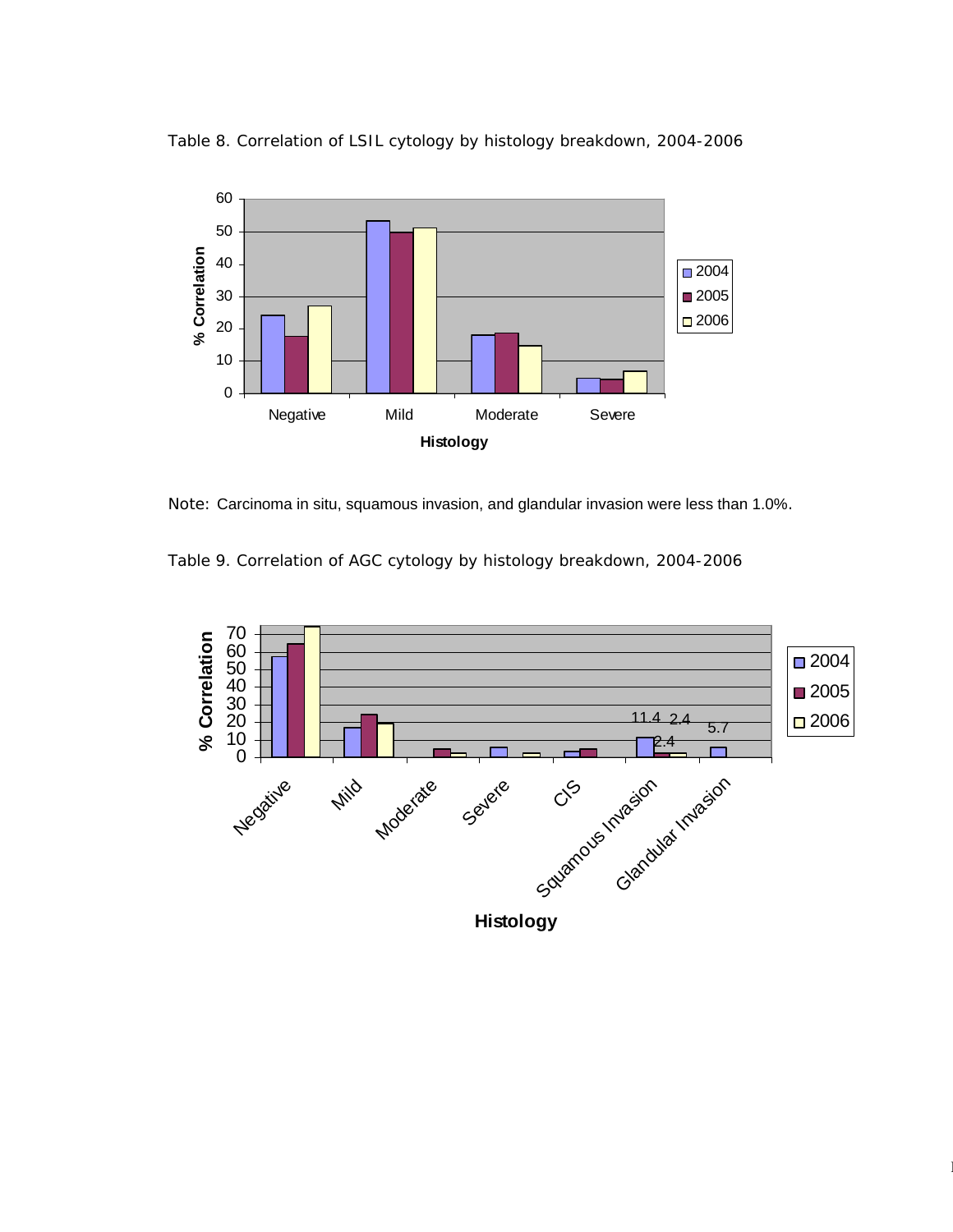



Note: Carcinoma in situ, squamous invasion, and glandular invasion were less than 1.0%.

Table 9. Correlation of AGC cytology by histology breakdown, 2004-2006

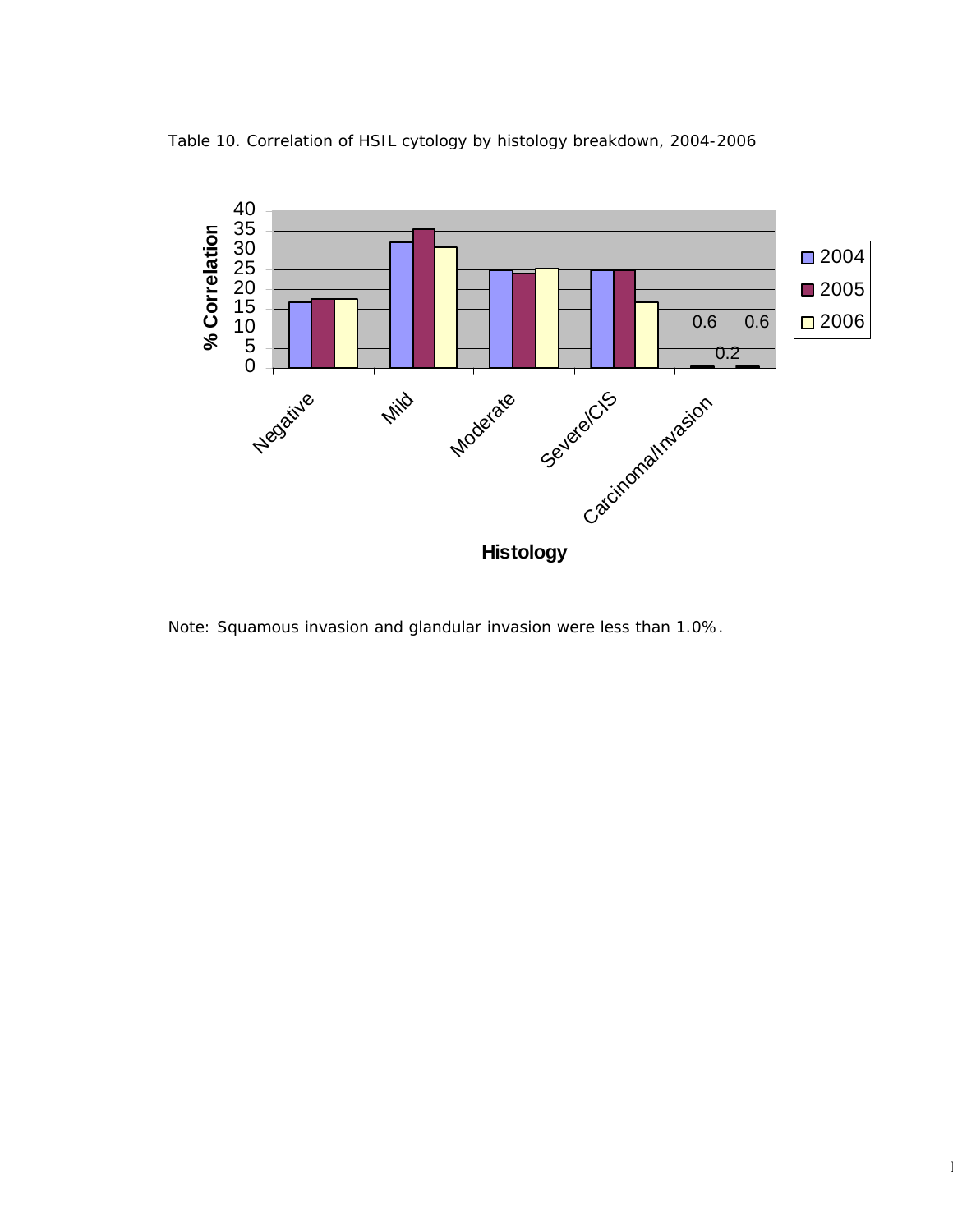



Note: Squamous invasion and glandular invasion were less than 1.0%.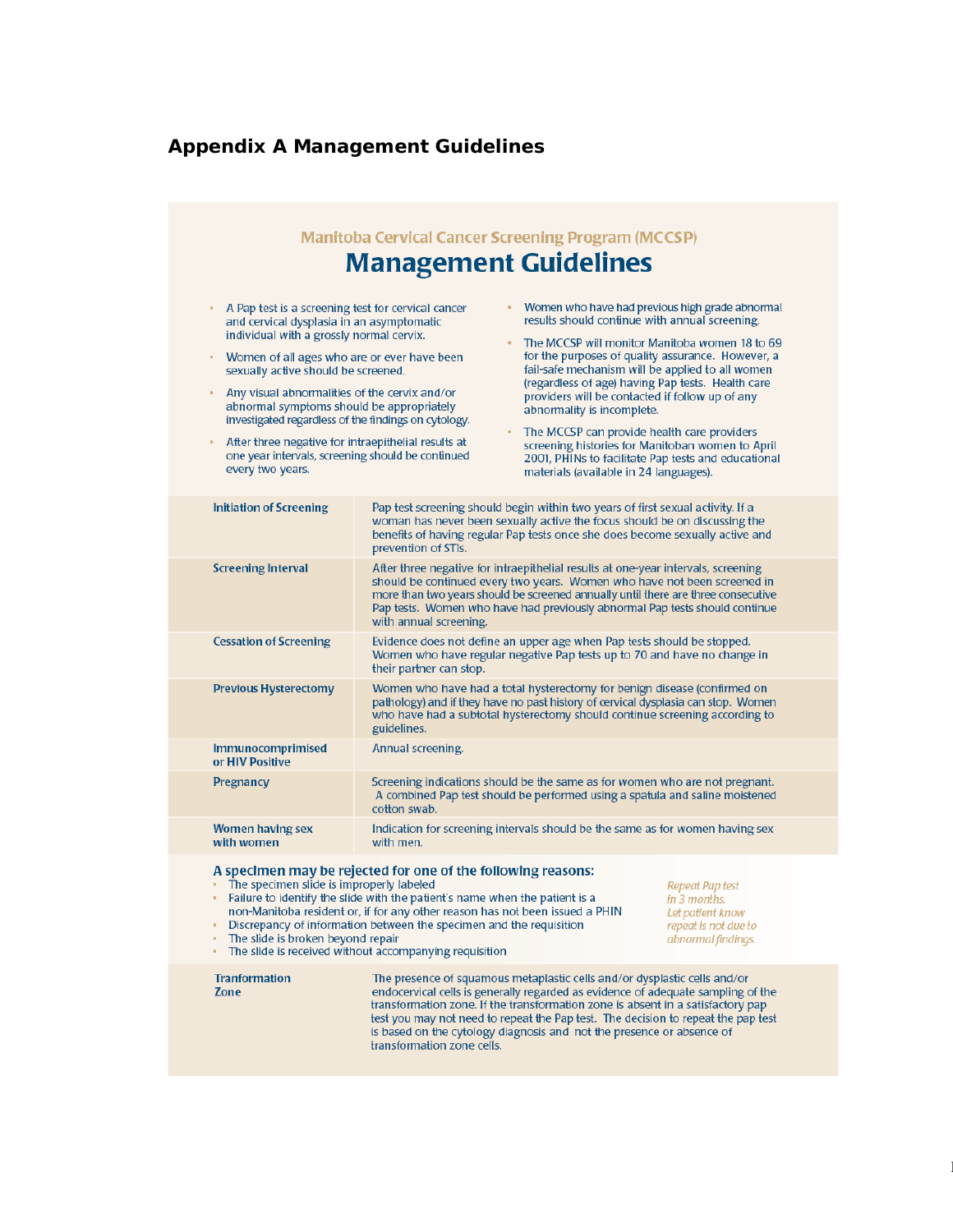# **Appendix A Management Guidelines**

|                                                                                                                                                                                                      | <b>Manitoba Cervical Cancer Screening Program (MCCSP)</b>                                                                                                                                                                                                                                                                                                                                                                                                         |
|------------------------------------------------------------------------------------------------------------------------------------------------------------------------------------------------------|-------------------------------------------------------------------------------------------------------------------------------------------------------------------------------------------------------------------------------------------------------------------------------------------------------------------------------------------------------------------------------------------------------------------------------------------------------------------|
|                                                                                                                                                                                                      | <b>Management Guidelines</b>                                                                                                                                                                                                                                                                                                                                                                                                                                      |
| A Pap test is a screening test for cervical cancer<br>۰<br>and cervical dysplasia in an asymptomatic<br>individual with a grossly normal cervix.<br>Women of all ages who are or ever have been<br>۰ | Women who have had previous high grade abnormal<br>results should continue with annual screening.<br>The MCCSP will monitor Manitoba women 18 to 69<br>for the purposes of quality assurance. However, a                                                                                                                                                                                                                                                          |
| sexually active should be screened.<br>Any visual abnormalities of the cervix and/or<br>abnormal symptoms should be appropriately<br>investigated regardless of the findings on cytology.            | fail-safe mechanism will be applied to all women<br>(regardless of age) having Pap tests. Health care<br>providers will be contacted if follow up of any<br>abnormality is incomplete.                                                                                                                                                                                                                                                                            |
| After three negative for intraepithelial results at<br>one year intervals, screening should be continued<br>every two years.                                                                         | The MCCSP can provide health care providers<br>screening histories for Manitoban women to April<br>2001, PHINs to facilitate Pap tests and educational<br>materials (available in 24 languages).                                                                                                                                                                                                                                                                  |
| <b>Initiation of Screening</b>                                                                                                                                                                       | Pap test screening should begin within two years of first sexual activity. If a<br>woman has never been sexually active the focus should be on discussing the<br>benefits of having regular Pap tests once she does become sexually active and<br>prevention of STIs.                                                                                                                                                                                             |
| <b>Screening Interval</b>                                                                                                                                                                            | After three negative for intraepithelial results at one-year intervals, screening<br>should be continued every two years. Women who have not been screened in<br>more than two years should be screened annually until there are three consecutive<br>Pap tests. Women who have had previously abnormal Pap tests should continue<br>with annual screening.                                                                                                       |
| <b>Cessation of Screening</b>                                                                                                                                                                        | Evidence does not define an upper age when Pap tests should be stopped.<br>Women who have regular negative Pap tests up to 70 and have no change in<br>their partner can stop.                                                                                                                                                                                                                                                                                    |
| <b>Previous Hysterectomy</b>                                                                                                                                                                         | Women who have had a total hysterectomy for benign disease (confirmed on<br>pathology) and if they have no past history of cervical dysplasia can stop. Women<br>who have had a subtotal hysterectomy should continue screening according to<br>guidelines.                                                                                                                                                                                                       |
| Immunocomprimised<br>or HIV Positive                                                                                                                                                                 | Annual screening.                                                                                                                                                                                                                                                                                                                                                                                                                                                 |
| Pregnancy                                                                                                                                                                                            | Screening indications should be the same as for women who are not pregnant.<br>A combined Pap test should be performed using a spatula and saline moistened<br>cotton swab.                                                                                                                                                                                                                                                                                       |
| <b>Women having sex</b><br>with women                                                                                                                                                                | Indication for screening intervals should be the same as for women having sex<br>with men.                                                                                                                                                                                                                                                                                                                                                                        |
| The specimen slide is improperly labeled<br>The slide is broken beyond repair                                                                                                                        | A specimen may be rejected for one of the following reasons:<br>Repeat Pap test<br>Failure to identify the slide with the patient's name when the patient is a<br>in 3 months.<br>non-Manitoba resident or, if for any other reason has not been issued a PHIN<br>Let patient know<br>Discrepancy of information between the specimen and the requisition<br>repeat is not due to<br>abnormal findings.<br>The slide is received without accompanying requisition |
| <b>Tranformation</b><br>Zone                                                                                                                                                                         | The presence of squamous metaplastic cells and/or dysplastic cells and/or<br>endocervical cells is generally regarded as evidence of adequate sampling of the<br>transformation zone. If the transformation zone is absent in a satisfactory pap<br>test you may not need to repeat the Pap test. The decision to repeat the pap test<br>is based on the cytology diagnosis and not the presence or absence of<br>transformation zone cells.                      |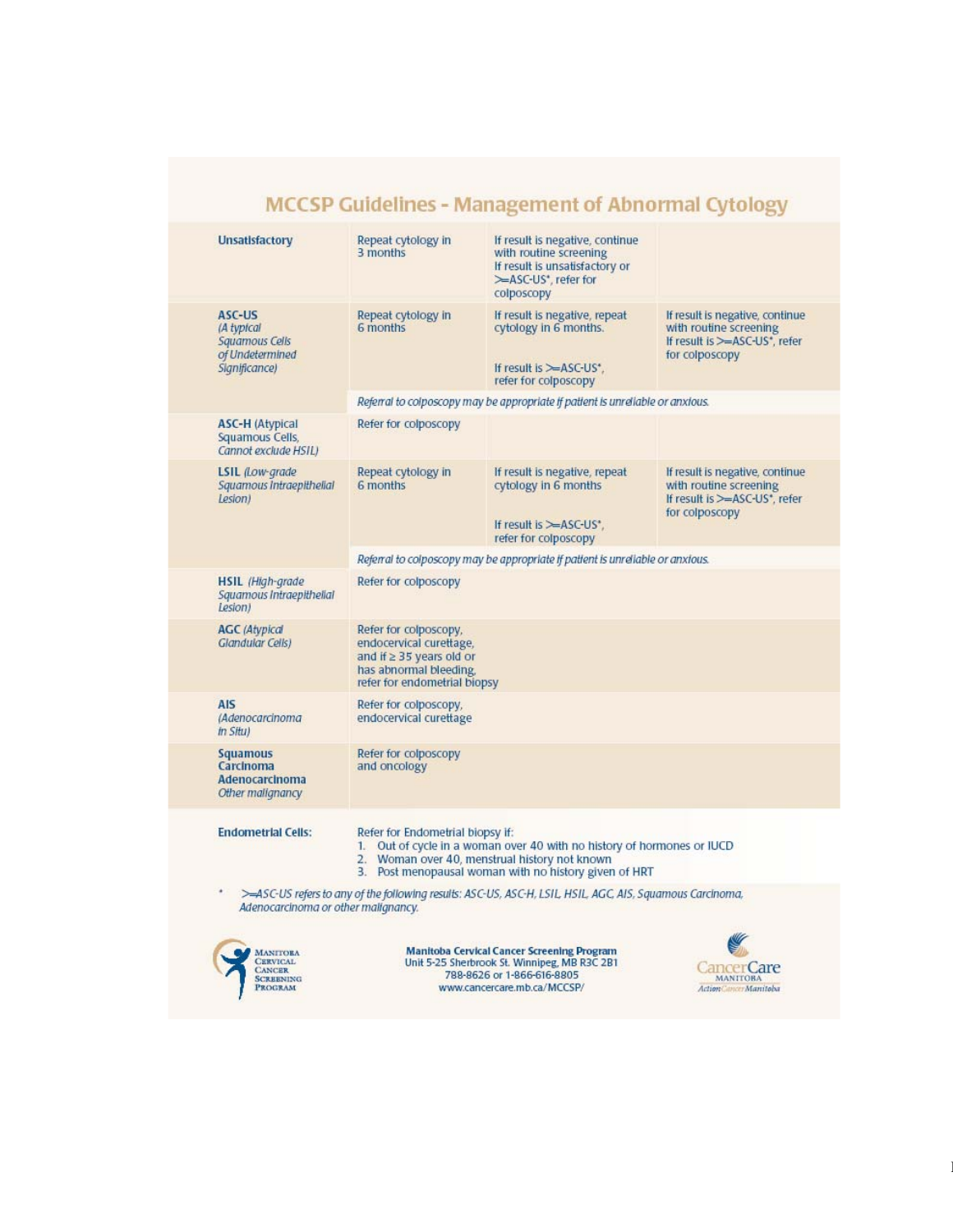|                                                                                           |                                                                                                                                                  | <b>MCCSP Guidelines - Management of Abnormal Cytology</b>                                                                                                                        |                                                                                                                           |  |  |  |  |  |
|-------------------------------------------------------------------------------------------|--------------------------------------------------------------------------------------------------------------------------------------------------|----------------------------------------------------------------------------------------------------------------------------------------------------------------------------------|---------------------------------------------------------------------------------------------------------------------------|--|--|--|--|--|
| <b>Unsatisfactory</b>                                                                     | Repeat cytology in<br>3 months                                                                                                                   | If result is negative, continue<br>with routine screening<br>If result is unsatisfactory or<br>>ASC-US <sup>*</sup> , refer for<br>colposcopy                                    |                                                                                                                           |  |  |  |  |  |
| ASC-US<br>(A typical<br>Squamous Cells<br>of Undetermined<br>Significance)                | Repeat cytology in<br>6 months                                                                                                                   | If result is negative, repeat<br>cytology in 6 months.<br>If result is $\simeq$ ASC-US*.<br>refer for colposcopy                                                                 | If result is negative, continue<br>with routine screening<br>If result is >=ASC-US <sup>*</sup> , refer<br>for colposcopy |  |  |  |  |  |
|                                                                                           |                                                                                                                                                  | Referral to colposcopy may be appropriate if patient is unreliable or anxious.                                                                                                   |                                                                                                                           |  |  |  |  |  |
| <b>ASC-H (Atypical</b><br>Squamous Cells,<br>Cannot exclude HSILI                         | Refer for colposcopy                                                                                                                             |                                                                                                                                                                                  |                                                                                                                           |  |  |  |  |  |
| LSIL (Low-grade)<br>Squamous Intraepithelial<br>Lesion)                                   | Repeat cytology in<br>6 months                                                                                                                   | If result is negative, repeat<br>cytology in 6 months<br>If result is $\simeq$ ASC-US'.<br>refer for colposcopy                                                                  | If result is negative, continue<br>with routine screening<br>If result is >=ASC-US*, refer<br>for colposcopy              |  |  |  |  |  |
|                                                                                           | Referral to colposcopy may be appropriate if patient is unreliable or anxious.                                                                   |                                                                                                                                                                                  |                                                                                                                           |  |  |  |  |  |
| <b>HSIL</b> (High-grade)<br>Squamous Intraepithelial<br>Lesion)                           | Refer for colposcopy                                                                                                                             |                                                                                                                                                                                  |                                                                                                                           |  |  |  |  |  |
| <b>AGC</b> (Atvpical<br>Glandular Cells)                                                  | Refer for colposcopy,<br>endocervical curettage,<br>and if $\geq$ 35 years old or<br>has abnormal bleeding.<br>refer for endometrial biopsy      |                                                                                                                                                                                  |                                                                                                                           |  |  |  |  |  |
| <b>AIS</b><br>(Adenocarcinoma<br><i>In Situ)</i>                                          | Refer for colposcopy,<br>endocervical curettage                                                                                                  |                                                                                                                                                                                  |                                                                                                                           |  |  |  |  |  |
| <b>Squamous</b><br>Carcinoma<br>Adenocarcinoma<br>Other malignancy                        | Refer for colposcopy<br>and oncology                                                                                                             |                                                                                                                                                                                  |                                                                                                                           |  |  |  |  |  |
| <b>Endometrial Cells:</b>                                                                 | Refer for Endometrial biopsy if:                                                                                                                 | 1. Out of cycle in a woman over 40 with no history of hormones or IUCD<br>2. Woman over 40, menstrual history not known<br>3. Post menopausal woman with no history given of HRT |                                                                                                                           |  |  |  |  |  |
| ٠                                                                                         | >=ASC-US refers to any of the following results: ASC-US, ASC-H, LSIL, HSIL, AGC, AIS, Squamous Carcinoma,<br>Adenocarcinoma or other malignancy. |                                                                                                                                                                                  |                                                                                                                           |  |  |  |  |  |
| <b>MANITORA</b><br><b>CERVICAL</b><br><b>CANCER</b><br><b>SCREENING</b><br><b>PROGRAM</b> |                                                                                                                                                  | <b>Manitoba Cervical Cancer Screening Program</b><br>Unit 5-25 Sherbrook St. Winnipeg, MB R3C 2B1<br>788-8626 or 1-866-616-8805<br>www.cancercare.mb.ca/MCCSP/                   | ancer Care<br><b>MANITOBA</b><br>Action Cancer Manitoba                                                                   |  |  |  |  |  |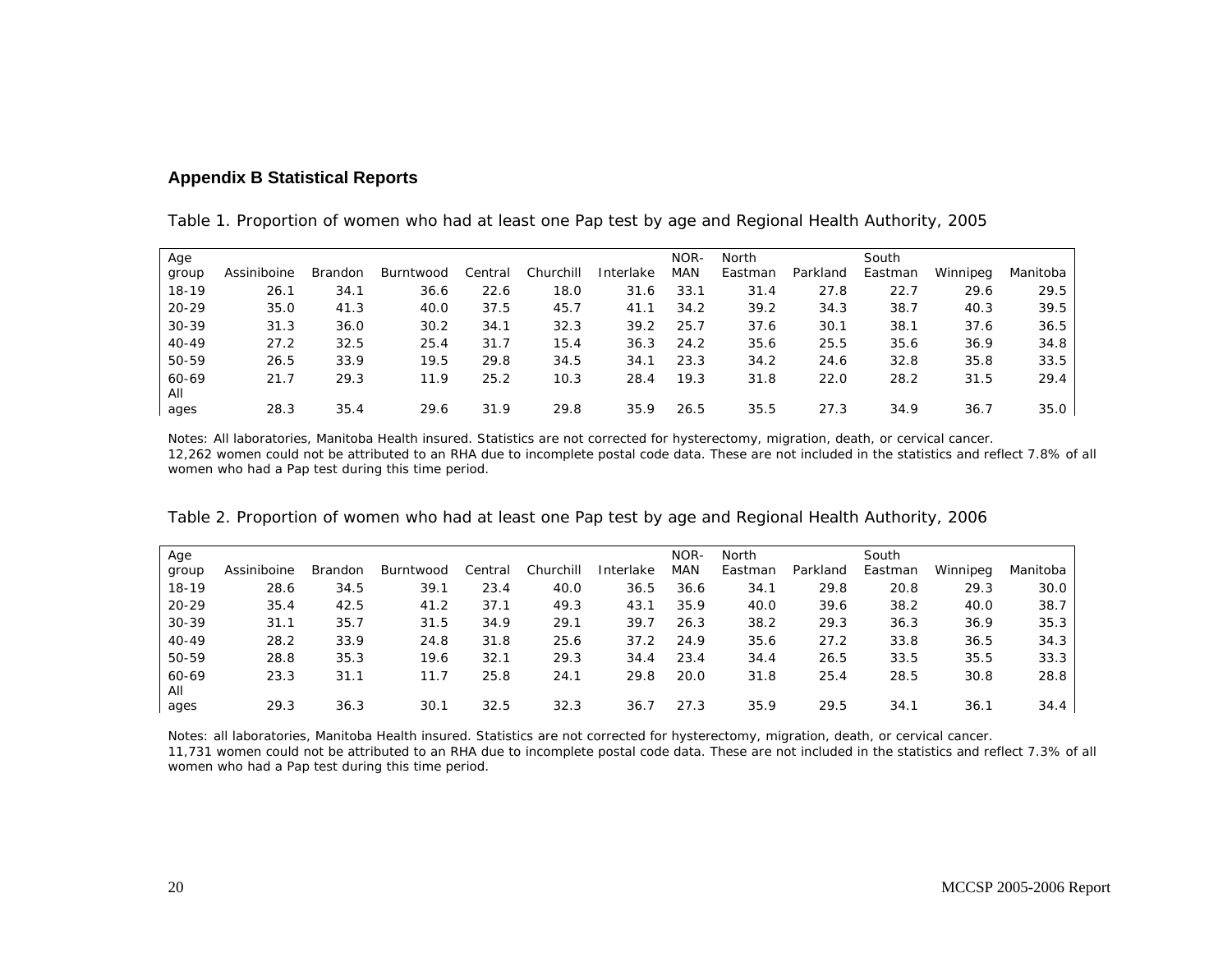### **Appendix B Statistical Reports**

| Table 1. Proportion of women who had at least one Pap test by age and Regional Health Authority, 2005 |  |  |
|-------------------------------------------------------------------------------------------------------|--|--|
|-------------------------------------------------------------------------------------------------------|--|--|

| Age       |             |         |           |         |           |           | NOR-       | <b>North</b> |          | South   |          |          |
|-----------|-------------|---------|-----------|---------|-----------|-----------|------------|--------------|----------|---------|----------|----------|
| group     | Assiniboine | Brandon | Burntwood | Central | Churchill | Interlake | <b>MAN</b> | Eastman      | Parkland | Eastman | Winnipeg | Manitoba |
| $18-19$   | 26.1        | 34.1    | 36.6      | 22.6    | 18.0      | 31.6      | 33.1       | 31.4         | 27.8     | 22.7    | 29.6     | 29.5     |
| $20 - 29$ | 35.0        | 41.3    | 40.0      | 37.5    | 45.7      | 41.1      | 34.2       | 39.2         | 34.3     | 38.7    | 40.3     | 39.5     |
| $30 - 39$ | 31.3        | 36.0    | 30.2      | 34.1    | 32.3      | 39.2      | 25.7       | 37.6         | 30.1     | 38.1    | 37.6     | 36.5     |
| $40 - 49$ | 27.2        | 32.5    | 25.4      | 31.7    | 15.4      | 36.3      | 24.2       | 35.6         | 25.5     | 35.6    | 36.9     | 34.8     |
| 50-59     | 26.5        | 33.9    | 19.5      | 29.8    | 34.5      | 34.1      | 23.3       | 34.2         | 24.6     | 32.8    | 35.8     | 33.5     |
| 60-69     | 21.7        | 29.3    | 11.9      | 25.2    | 10.3      | 28.4      | 19.3       | 31.8         | 22.0     | 28.2    | 31.5     | 29.4     |
| All       |             |         |           |         |           |           |            |              |          |         |          |          |
| ages      | 28.3        | 35.4    | 29.6      | 31.9    | 29.8      | 35.9      | 26.5       | 35.5         | 27.3     | 34.9    | 36.7     | 35.0     |

Notes: All laboratories, Manitoba Health insured. Statistics are not corrected for hysterectomy, migration, death, or cervical cancer. 12,262 women could not be attributed to an RHA due to incomplete postal code data. These are not included in the statistics and reflect 7.8% of all women who had a Pap test during this time period.

| Age       |             |                |           |         |           |           | NOR- | North   |          | South   |          |          |
|-----------|-------------|----------------|-----------|---------|-----------|-----------|------|---------|----------|---------|----------|----------|
| group     | Assiniboine | <b>Brandon</b> | Burntwood | Central | Churchill | Interlake | MAN  | Eastman | Parkland | Eastman | Winnipeg | Manitoba |
| $18-19$   | 28.6        | 34.5           | 39.1      | 23.4    | 40.0      | 36.5      | 36.6 | 34.1    | 29.8     | 20.8    | 29.3     | 30.0     |
| $20 - 29$ | 35.4        | 42.5           | 41.2      | 37.1    | 49.3      | 43.1      | 35.9 | 40.0    | 39.6     | 38.2    | 40.0     | 38.7     |
| $30 - 39$ | 31.1        | 35.7           | 31.5      | 34.9    | 29.1      | 39.7      | 26.3 | 38.2    | 29.3     | 36.3    | 36.9     | 35.3     |
| $40 - 49$ | 28.2        | 33.9           | 24.8      | 31.8    | 25.6      | 37.2      | 24.9 | 35.6    | 27.2     | 33.8    | 36.5     | 34.3     |
| 50-59     | 28.8        | 35.3           | 19.6      | 32.1    | 29.3      | 34.4      | 23.4 | 34.4    | 26.5     | 33.5    | 35.5     | 33.3     |
| 60-69     | 23.3        | 31.1           | 11.7      | 25.8    | 24.1      | 29.8      | 20.0 | 31.8    | 25.4     | 28.5    | 30.8     | 28.8     |
| All       |             |                |           |         |           |           |      |         |          |         |          |          |
| ages      | 29.3        | 36.3           | 30.1      | 32.5    | 32.3      | 36.7      | 27.3 | 35.9    | 29.5     | 34.1    | 36.1     | 34.4     |

Table 2. Proportion of women who had at least one Pap test by age and Regional Health Authority, 2006

Notes: all laboratories, Manitoba Health insured. Statistics are not corrected for hysterectomy, migration, death, or cervical cancer.

 11,731 women could not be attributed to an RHA due to incomplete postal code data. These are not included in the statistics and reflect 7.3% of all women who had a Pap test during this time period.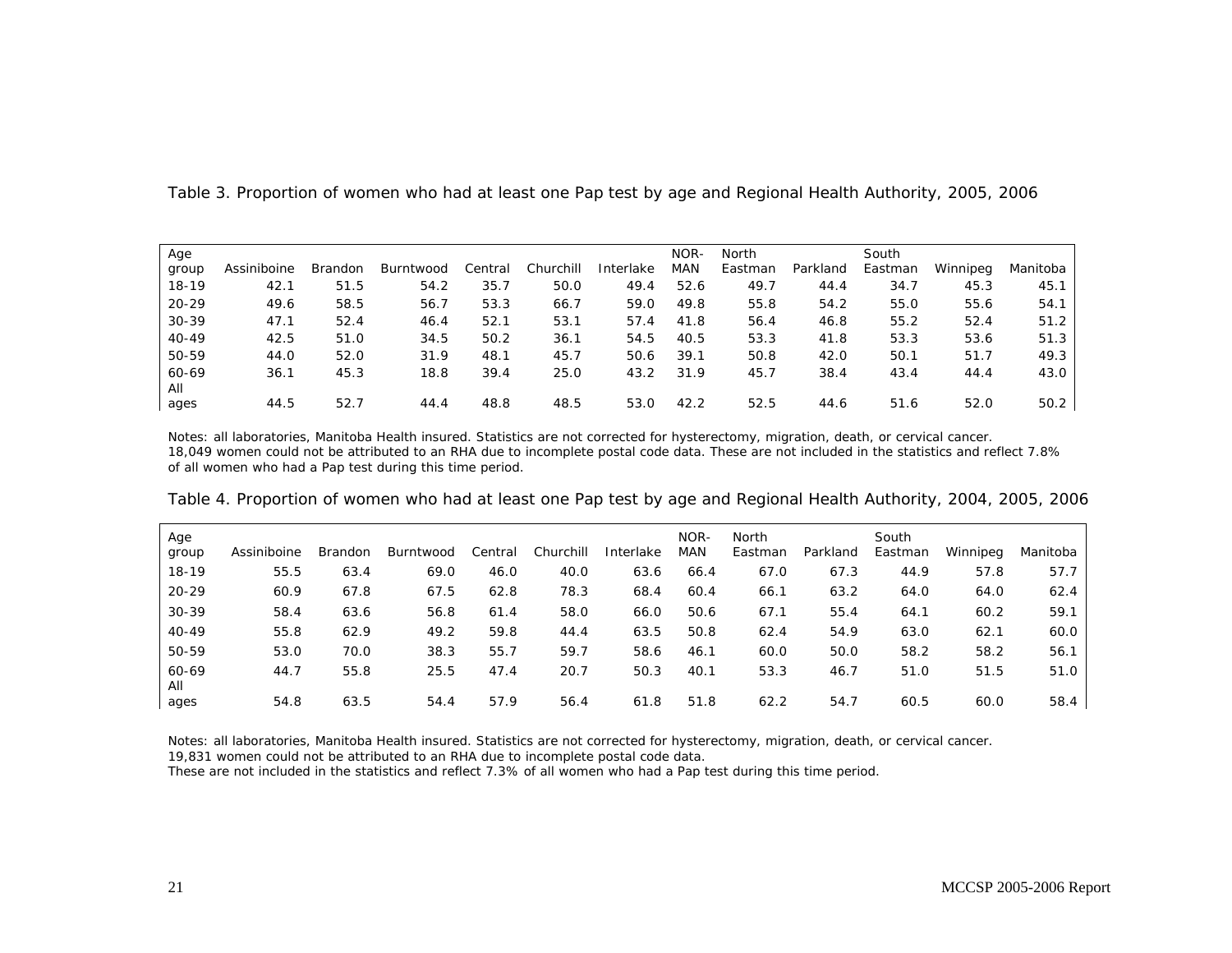| Age       |             |         |           |         |           |           | NOR-       | North   |          | South   |          |          |
|-----------|-------------|---------|-----------|---------|-----------|-----------|------------|---------|----------|---------|----------|----------|
| group     | Assiniboine | Brandon | Burntwood | Central | Churchill | Interlake | <b>MAN</b> | Eastman | Parkland | Eastman | Winnipeg | Manitoba |
| $18-19$   | 42.1        | 51.5    | 54.2      | 35.7    | 50.0      | 49.4      | 52.6       | 49.7    | 44.4     | 34.7    | 45.3     | 45.1     |
| $20 - 29$ | 49.6        | 58.5    | 56.7      | 53.3    | 66.7      | 59.0      | 49.8       | 55.8    | 54.2     | 55.0    | 55.6     | 54.1     |
| $30 - 39$ | 47.1        | 52.4    | 46.4      | 52.1    | 53.1      | 57.4      | 41.8       | 56.4    | 46.8     | 55.2    | 52.4     | 51.2     |
| $40 - 49$ | 42.5        | 51.0    | 34.5      | 50.2    | 36.1      | 54.5      | 40.5       | 53.3    | 41.8     | 53.3    | 53.6     | 51.3     |
| 50-59     | 44.0        | 52.0    | 31.9      | 48.1    | 45.7      | 50.6      | 39.1       | 50.8    | 42.0     | 50.1    | 51.7     | 49.3     |
| 60-69     | 36.1        | 45.3    | 18.8      | 39.4    | 25.0      | 43.2      | 31.9       | 45.7    | 38.4     | 43.4    | 44.4     | 43.0     |
| All       |             |         |           |         |           |           |            |         |          |         |          |          |
| ages      | 44.5        | 52.7    | 44.4      | 48.8    | 48.5      | 53.0      | 42.2       | 52.5    | 44.6     | 51.6    | 52.0     | 50.2     |

Table 3. Proportion of women who had at least one Pap test by age and Regional Health Authority, 2005, 2006

Notes: all laboratories, Manitoba Health insured. Statistics are not corrected for hysterectomy, migration, death, or cervical cancer. 18,049 women could not be attributed to an RHA due to incomplete postal code data. These are not included in the statistics and reflect 7.8% of all women who had a Pap test during this time period.

| Age<br>group | Assiniboine | <b>Brandon</b> | Burntwood | Central | Churchill | Interlake | NOR-<br>MAN | North<br>Eastman | Parkland | South<br>Eastman | Winnipeg | Manitoba |
|--------------|-------------|----------------|-----------|---------|-----------|-----------|-------------|------------------|----------|------------------|----------|----------|
| 18-19        | 55.5        | 63.4           | 69.0      | 46.0    | 40.0      | 63.6      | 66.4        | 67.0             | 67.3     | 44.9             | 57.8     | 57.7     |
| $20 - 29$    | 60.9        | 67.8           | 67.5      | 62.8    | 78.3      | 68.4      | 60.4        | 66.1             | 63.2     | 64.0             | 64.0     | 62.4     |
| $30 - 39$    | 58.4        | 63.6           | 56.8      | 61.4    | 58.0      | 66.0      | 50.6        | 67.1             | 55.4     | 64.1             | 60.2     | 59.1     |
| $40 - 49$    | 55.8        | 62.9           | 49.2      | 59.8    | 44.4      | 63.5      | 50.8        | 62.4             | 54.9     | 63.0             | 62.1     | 60.0     |
| 50-59        | 53.0        | 70.0           | 38.3      | 55.7    | 59.7      | 58.6      | 46.1        | 60.0             | 50.0     | 58.2             | 58.2     | 56.1     |
| 60-69<br>All | 44.7        | 55.8           | 25.5      | 47.4    | 20.7      | 50.3      | 40.1        | 53.3             | 46.7     | 51.0             | 51.5     | 51.0     |
| ages         | 54.8        | 63.5           | 54.4      | 57.9    | 56.4      | 61.8      | 51.8        | 62.2             | 54.7     | 60.5             | 60.0     | 58.4     |

Table 4. Proportion of women who had at least one Pap test by age and Regional Health Authority, 2004, 2005, 2006

Notes: all laboratories, Manitoba Health insured. Statistics are not corrected for hysterectomy, migration, death, or cervical cancer.

19,831 women could not be attributed to an RHA due to incomplete postal code data.

These are not included in the statistics and reflect 7.3% of all women who had a Pap test during this time period.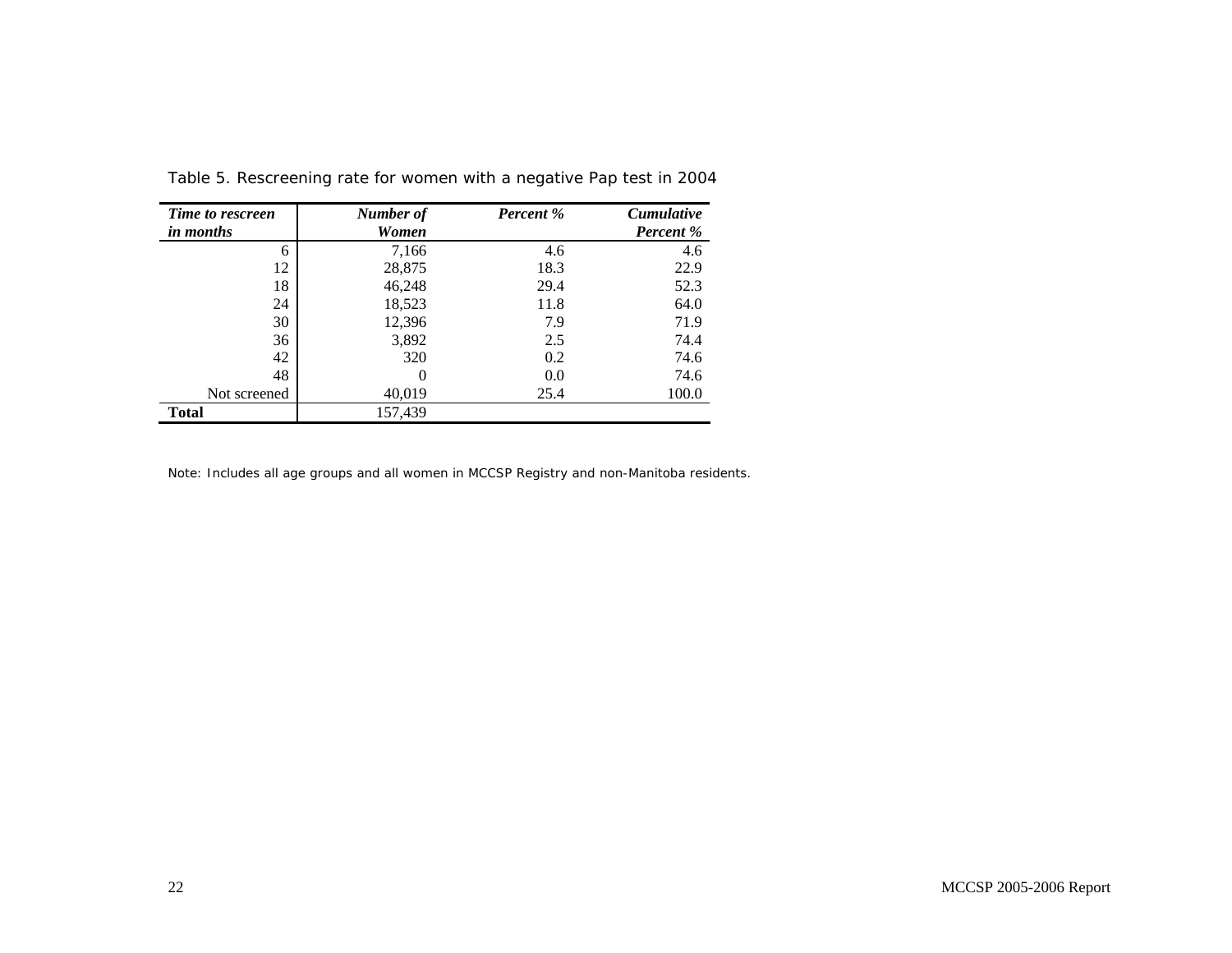| Time to rescreen<br><i>in months</i> | Number of<br>Women | <b>Percent</b> % | <b>Cumulative</b><br><b>Percent</b> % |
|--------------------------------------|--------------------|------------------|---------------------------------------|
| 6                                    | 7,166              | 4.6              | 4.6                                   |
| 12                                   | 28,875             | 18.3             | 22.9                                  |
| 18                                   | 46,248             | 29.4             | 52.3                                  |
| 24                                   | 18,523             | 11.8             | 64.0                                  |
| 30                                   | 12,396             | 7.9              | 71.9                                  |
| 36                                   | 3,892              | 2.5              | 74.4                                  |
| 42                                   | 320                | 0.2              | 74.6                                  |
| 48                                   | $\theta$           | 0.0              | 74.6                                  |
| Not screened                         | 40,019             | 25.4             | 100.0                                 |
| <b>Total</b>                         | 157,439            |                  |                                       |

Table 5. Rescreening rate for women with a negative Pap test in 2004

Note: Includes all age groups and all women in MCCSP Registry and non-Manitoba residents.